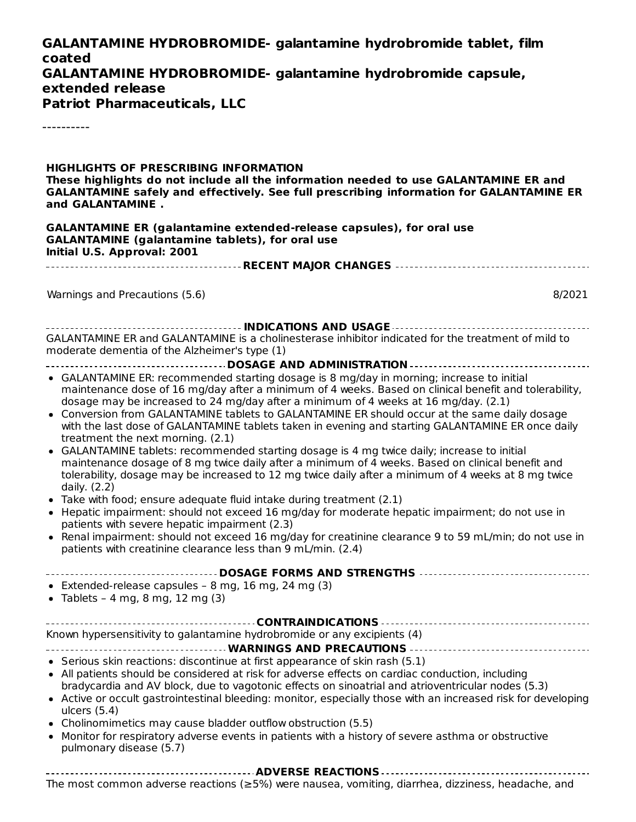#### **GALANTAMINE HYDROBROMIDE- galantamine hydrobromide tablet, film coated GALANTAMINE HYDROBROMIDE- galantamine hydrobromide capsule, extended release Patriot Pharmaceuticals, LLC**

----------

**HIGHLIGHTS OF PRESCRIBING INFORMATION These highlights do not include all the information needed to use GALANTAMINE ER and GALANTAMINE safely and effectively. See full prescribing information for GALANTAMINE ER and GALANTAMINE . GALANTAMINE ER (galantamine extended-release capsules), for oral use GALANTAMINE (galantamine tablets), for oral use Initial U.S. Approval: 2001 RECENT MAJOR CHANGES** Warnings and Precautions (5.6) 8/2021 **INDICATIONS AND USAGE** GALANTAMINE ER and GALANTAMINE is a cholinesterase inhibitor indicated for the treatment of mild to moderate dementia of the Alzheimer's type (1) **DOSAGE AND ADMINISTRATION** GALANTAMINE ER: recommended starting dosage is 8 mg/day in morning; increase to initial maintenance dose of 16 mg/day after a minimum of 4 weeks. Based on clinical benefit and tolerability, dosage may be increased to 24 mg/day after a minimum of 4 weeks at 16 mg/day. (2.1) Conversion from GALANTAMINE tablets to GALANTAMINE ER should occur at the same daily dosage with the last dose of GALANTAMINE tablets taken in evening and starting GALANTAMINE ER once daily treatment the next morning. (2.1) GALANTAMINE tablets: recommended starting dosage is 4 mg twice daily; increase to initial maintenance dosage of 8 mg twice daily after a minimum of 4 weeks. Based on clinical benefit and tolerability, dosage may be increased to 12 mg twice daily after a minimum of 4 weeks at 8 mg twice daily. (2.2) Take with food; ensure adequate fluid intake during treatment (2.1) Hepatic impairment: should not exceed 16 mg/day for moderate hepatic impairment; do not use in patients with severe hepatic impairment (2.3) Renal impairment: should not exceed 16 mg/day for creatinine clearance 9 to 59 mL/min; do not use in  $\bullet$ patients with creatinine clearance less than 9 mL/min. (2.4) **DOSAGE FORMS AND STRENGTHS** Extended-release capsules  $-8$  mg, 16 mg, 24 mg (3) • Tablets - 4 mg, 8 mg, 12 mg  $(3)$ **CONTRAINDICATIONS** Known hypersensitivity to galantamine hydrobromide or any excipients (4) **WARNINGS AND PRECAUTIONS**  $\bullet$  Serious skin reactions: discontinue at first appearance of skin rash (5.1) All patients should be considered at risk for adverse effects on cardiac conduction, including bradycardia and AV block, due to vagotonic effects on sinoatrial and atrioventricular nodes (5.3) Active or occult gastrointestinal bleeding: monitor, especially those with an increased risk for developing ulcers (5.4) Cholinomimetics may cause bladder outflow obstruction (5.5) • Monitor for respiratory adverse events in patients with a history of severe asthma or obstructive pulmonary disease (5.7) **ADVERSE REACTIONS**

The most common adverse reactions (≥5%) were nausea, vomiting, diarrhea, dizziness, headache, and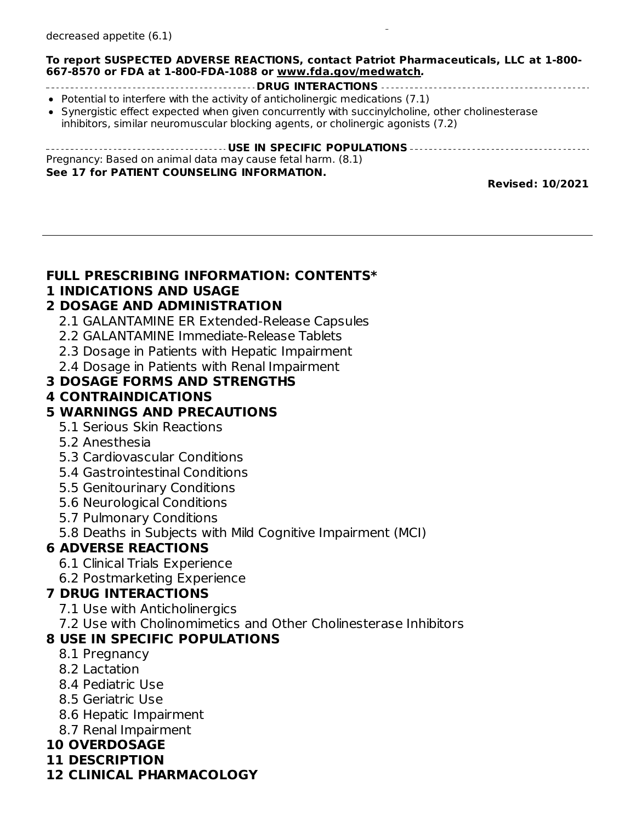#### **To report SUSPECTED ADVERSE REACTIONS, contact Patriot Pharmaceuticals, LLC at 1-800- 667-8570 or FDA at 1-800-FDA-1088 or www.fda.gov/medwatch.**

 $T_{\rm eff}$  adverse reactions ( $25$  ) were nausea, volume nausea, diarrhea, diarrhea, dizziness, headache, and

- **DRUG INTERACTIONS** • Potential to interfere with the activity of anticholinergic medications  $(7.1)$
- Synergistic effect expected when given concurrently with succinylcholine, other cholinesterase inhibitors, similar neuromuscular blocking agents, or cholinergic agonists (7.2)

| Pregnancy: Based on animal data may cause fetal harm. (8.1) |
|-------------------------------------------------------------|
| See 17 for PATIENT COUNSELING INFORMATION.                  |

**Revised: 10/2021**

#### **FULL PRESCRIBING INFORMATION: CONTENTS\***

#### **1 INDICATIONS AND USAGE**

#### **2 DOSAGE AND ADMINISTRATION**

- 2.1 GALANTAMINE ER Extended-Release Capsules
- 2.2 GALANTAMINE Immediate-Release Tablets
- 2.3 Dosage in Patients with Hepatic Impairment
- 2.4 Dosage in Patients with Renal Impairment

#### **3 DOSAGE FORMS AND STRENGTHS**

#### **4 CONTRAINDICATIONS**

### **5 WARNINGS AND PRECAUTIONS**

- 5.1 Serious Skin Reactions
- 5.2 Anesthesia
- 5.3 Cardiovascular Conditions
- 5.4 Gastrointestinal Conditions
- 5.5 Genitourinary Conditions
- 5.6 Neurological Conditions
- 5.7 Pulmonary Conditions
- 5.8 Deaths in Subjects with Mild Cognitive Impairment (MCI)

# **6 ADVERSE REACTIONS**

- 6.1 Clinical Trials Experience
- 6.2 Postmarketing Experience

### **7 DRUG INTERACTIONS**

- 7.1 Use with Anticholinergics
- 7.2 Use with Cholinomimetics and Other Cholinesterase Inhibitors

#### **8 USE IN SPECIFIC POPULATIONS**

- 8.1 Pregnancy
- 8.2 Lactation
- 8.4 Pediatric Use
- 8.5 Geriatric Use
- 8.6 Hepatic Impairment
- 8.7 Renal Impairment

### **10 OVERDOSAGE**

**11 DESCRIPTION**

#### **12 CLINICAL PHARMACOLOGY**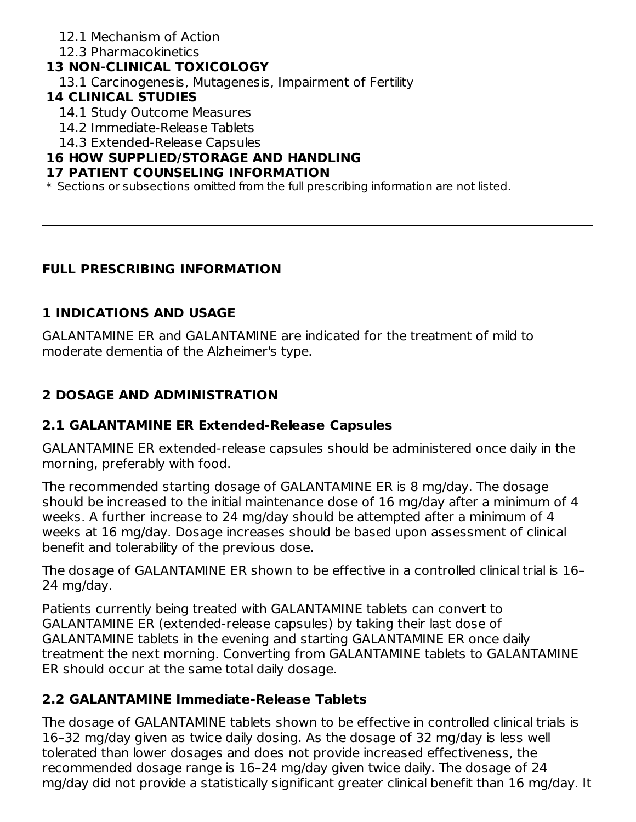- 12.1 Mechanism of Action
- 12.3 Pharmacokinetics

## **13 NON-CLINICAL TOXICOLOGY**

13.1 Carcinogenesis, Mutagenesis, Impairment of Fertility

## **14 CLINICAL STUDIES**

- 14.1 Study Outcome Measures
- 14.2 Immediate-Release Tablets
- 14.3 Extended-Release Capsules

### **16 HOW SUPPLIED/STORAGE AND HANDLING**

#### **17 PATIENT COUNSELING INFORMATION**

 $\ast$  Sections or subsections omitted from the full prescribing information are not listed.

# **FULL PRESCRIBING INFORMATION**

# **1 INDICATIONS AND USAGE**

GALANTAMINE ER and GALANTAMINE are indicated for the treatment of mild to moderate dementia of the Alzheimer's type.

# **2 DOSAGE AND ADMINISTRATION**

### **2.1 GALANTAMINE ER Extended-Release Capsules**

GALANTAMINE ER extended-release capsules should be administered once daily in the morning, preferably with food.

The recommended starting dosage of GALANTAMINE ER is 8 mg/day. The dosage should be increased to the initial maintenance dose of 16 mg/day after a minimum of 4 weeks. A further increase to 24 mg/day should be attempted after a minimum of 4 weeks at 16 mg/day. Dosage increases should be based upon assessment of clinical benefit and tolerability of the previous dose.

The dosage of GALANTAMINE ER shown to be effective in a controlled clinical trial is 16– 24 mg/day.

Patients currently being treated with GALANTAMINE tablets can convert to GALANTAMINE ER (extended-release capsules) by taking their last dose of GALANTAMINE tablets in the evening and starting GALANTAMINE ER once daily treatment the next morning. Converting from GALANTAMINE tablets to GALANTAMINE ER should occur at the same total daily dosage.

# **2.2 GALANTAMINE Immediate-Release Tablets**

The dosage of GALANTAMINE tablets shown to be effective in controlled clinical trials is 16–32 mg/day given as twice daily dosing. As the dosage of 32 mg/day is less well tolerated than lower dosages and does not provide increased effectiveness, the recommended dosage range is 16–24 mg/day given twice daily. The dosage of 24 mg/day did not provide a statistically significant greater clinical benefit than 16 mg/day. It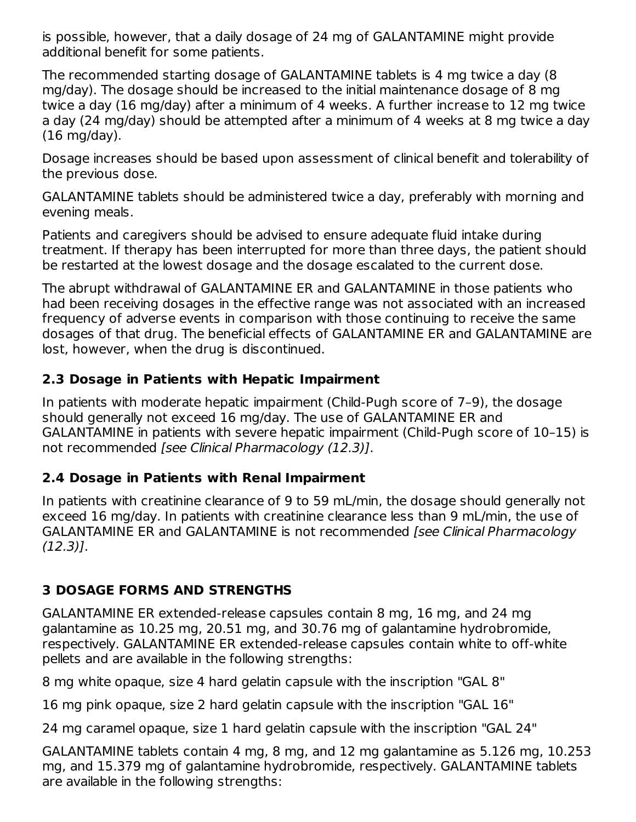is possible, however, that a daily dosage of 24 mg of GALANTAMINE might provide additional benefit for some patients.

The recommended starting dosage of GALANTAMINE tablets is 4 mg twice a day (8 mg/day). The dosage should be increased to the initial maintenance dosage of 8 mg twice a day (16 mg/day) after a minimum of 4 weeks. A further increase to 12 mg twice a day (24 mg/day) should be attempted after a minimum of 4 weeks at 8 mg twice a day (16 mg/day).

Dosage increases should be based upon assessment of clinical benefit and tolerability of the previous dose.

GALANTAMINE tablets should be administered twice a day, preferably with morning and evening meals.

Patients and caregivers should be advised to ensure adequate fluid intake during treatment. If therapy has been interrupted for more than three days, the patient should be restarted at the lowest dosage and the dosage escalated to the current dose.

The abrupt withdrawal of GALANTAMINE ER and GALANTAMINE in those patients who had been receiving dosages in the effective range was not associated with an increased frequency of adverse events in comparison with those continuing to receive the same dosages of that drug. The beneficial effects of GALANTAMINE ER and GALANTAMINE are lost, however, when the drug is discontinued.

### **2.3 Dosage in Patients with Hepatic Impairment**

In patients with moderate hepatic impairment (Child-Pugh score of 7–9), the dosage should generally not exceed 16 mg/day. The use of GALANTAMINE ER and GALANTAMINE in patients with severe hepatic impairment (Child-Pugh score of 10–15) is not recommended [see Clinical Pharmacology (12.3)].

### **2.4 Dosage in Patients with Renal Impairment**

In patients with creatinine clearance of 9 to 59 mL/min, the dosage should generally not exceed 16 mg/day. In patients with creatinine clearance less than 9 mL/min, the use of GALANTAMINE ER and GALANTAMINE is not recommended [see Clinical Pharmacology (12.3)].

### **3 DOSAGE FORMS AND STRENGTHS**

GALANTAMINE ER extended-release capsules contain 8 mg, 16 mg, and 24 mg galantamine as 10.25 mg, 20.51 mg, and 30.76 mg of galantamine hydrobromide, respectively. GALANTAMINE ER extended-release capsules contain white to off-white pellets and are available in the following strengths:

8 mg white opaque, size 4 hard gelatin capsule with the inscription "GAL 8"

16 mg pink opaque, size 2 hard gelatin capsule with the inscription "GAL 16"

24 mg caramel opaque, size 1 hard gelatin capsule with the inscription "GAL 24"

GALANTAMINE tablets contain 4 mg, 8 mg, and 12 mg galantamine as 5.126 mg, 10.253 mg, and 15.379 mg of galantamine hydrobromide, respectively. GALANTAMINE tablets are available in the following strengths: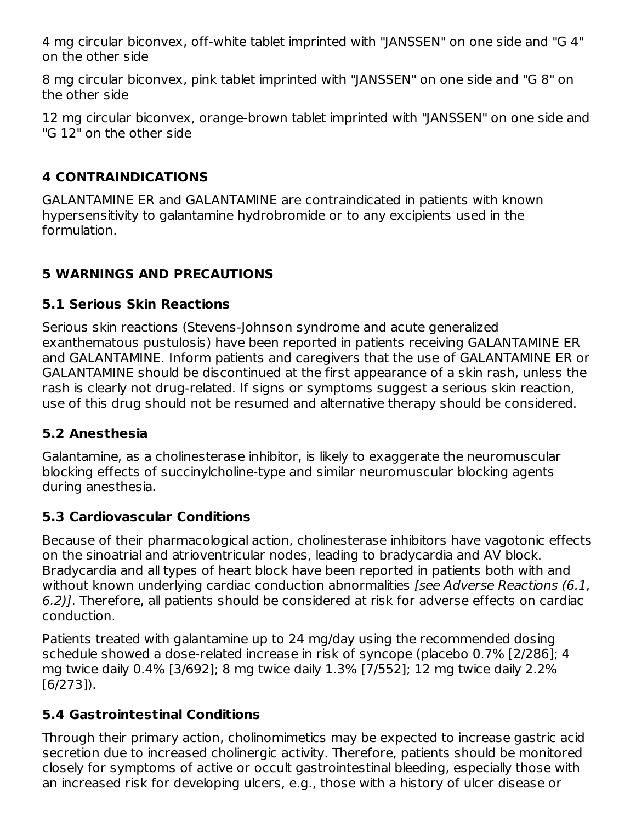4 mg circular biconvex, off-white tablet imprinted with "JANSSEN" on one side and "G 4" on the other side

8 mg circular biconvex, pink tablet imprinted with "JANSSEN" on one side and "G 8" on the other side

12 mg circular biconvex, orange-brown tablet imprinted with "JANSSEN" on one side and "G 12" on the other side

### **4 CONTRAINDICATIONS**

GALANTAMINE ER and GALANTAMINE are contraindicated in patients with known hypersensitivity to galantamine hydrobromide or to any excipients used in the formulation.

## **5 WARNINGS AND PRECAUTIONS**

#### **5.1 Serious Skin Reactions**

Serious skin reactions (Stevens-Johnson syndrome and acute generalized exanthematous pustulosis) have been reported in patients receiving GALANTAMINE ER and GALANTAMINE. Inform patients and caregivers that the use of GALANTAMINE ER or GALANTAMINE should be discontinued at the first appearance of a skin rash, unless the rash is clearly not drug-related. If signs or symptoms suggest a serious skin reaction, use of this drug should not be resumed and alternative therapy should be considered.

### **5.2 Anesthesia**

Galantamine, as a cholinesterase inhibitor, is likely to exaggerate the neuromuscular blocking effects of succinylcholine-type and similar neuromuscular blocking agents during anesthesia.

#### **5.3 Cardiovascular Conditions**

Because of their pharmacological action, cholinesterase inhibitors have vagotonic effects on the sinoatrial and atrioventricular nodes, leading to bradycardia and AV block. Bradycardia and all types of heart block have been reported in patients both with and without known underlying cardiac conduction abnormalities *[see Adverse Reactions (6.1,* 6.2)]. Therefore, all patients should be considered at risk for adverse effects on cardiac conduction.

Patients treated with galantamine up to 24 mg/day using the recommended dosing schedule showed a dose-related increase in risk of syncope (placebo 0.7% [2/286]; 4 mg twice daily 0.4% [3/692]; 8 mg twice daily 1.3% [7/552]; 12 mg twice daily 2.2% [6/273]).

### **5.4 Gastrointestinal Conditions**

Through their primary action, cholinomimetics may be expected to increase gastric acid secretion due to increased cholinergic activity. Therefore, patients should be monitored closely for symptoms of active or occult gastrointestinal bleeding, especially those with an increased risk for developing ulcers, e.g., those with a history of ulcer disease or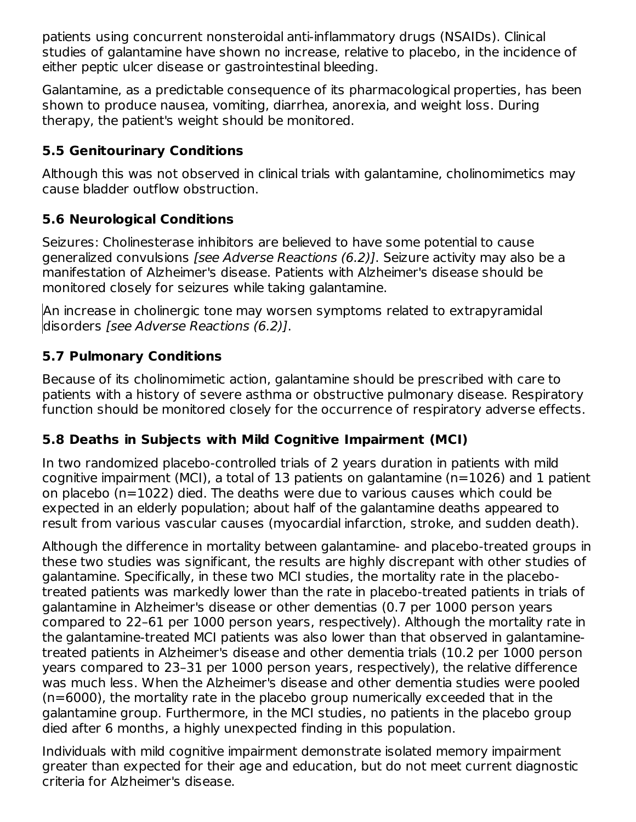patients using concurrent nonsteroidal anti-inflammatory drugs (NSAIDs). Clinical studies of galantamine have shown no increase, relative to placebo, in the incidence of either peptic ulcer disease or gastrointestinal bleeding.

Galantamine, as a predictable consequence of its pharmacological properties, has been shown to produce nausea, vomiting, diarrhea, anorexia, and weight loss. During therapy, the patient's weight should be monitored.

## **5.5 Genitourinary Conditions**

Although this was not observed in clinical trials with galantamine, cholinomimetics may cause bladder outflow obstruction.

# **5.6 Neurological Conditions**

Seizures: Cholinesterase inhibitors are believed to have some potential to cause generalized convulsions [see Adverse Reactions (6.2)]. Seizure activity may also be a manifestation of Alzheimer's disease. Patients with Alzheimer's disease should be monitored closely for seizures while taking galantamine.

An increase in cholinergic tone may worsen symptoms related to extrapyramidal disorders [see Adverse Reactions (6.2)].

## **5.7 Pulmonary Conditions**

Because of its cholinomimetic action, galantamine should be prescribed with care to patients with a history of severe asthma or obstructive pulmonary disease. Respiratory function should be monitored closely for the occurrence of respiratory adverse effects.

# **5.8 Deaths in Subjects with Mild Cognitive Impairment (MCI)**

In two randomized placebo-controlled trials of 2 years duration in patients with mild cognitive impairment (MCI), a total of 13 patients on galantamine (n=1026) and 1 patient on placebo (n=1022) died. The deaths were due to various causes which could be expected in an elderly population; about half of the galantamine deaths appeared to result from various vascular causes (myocardial infarction, stroke, and sudden death).

Although the difference in mortality between galantamine- and placebo-treated groups in these two studies was significant, the results are highly discrepant with other studies of galantamine. Specifically, in these two MCI studies, the mortality rate in the placebotreated patients was markedly lower than the rate in placebo-treated patients in trials of galantamine in Alzheimer's disease or other dementias (0.7 per 1000 person years compared to 22–61 per 1000 person years, respectively). Although the mortality rate in the galantamine-treated MCI patients was also lower than that observed in galantaminetreated patients in Alzheimer's disease and other dementia trials (10.2 per 1000 person years compared to 23–31 per 1000 person years, respectively), the relative difference was much less. When the Alzheimer's disease and other dementia studies were pooled (n=6000), the mortality rate in the placebo group numerically exceeded that in the galantamine group. Furthermore, in the MCI studies, no patients in the placebo group died after 6 months, a highly unexpected finding in this population.

Individuals with mild cognitive impairment demonstrate isolated memory impairment greater than expected for their age and education, but do not meet current diagnostic criteria for Alzheimer's disease.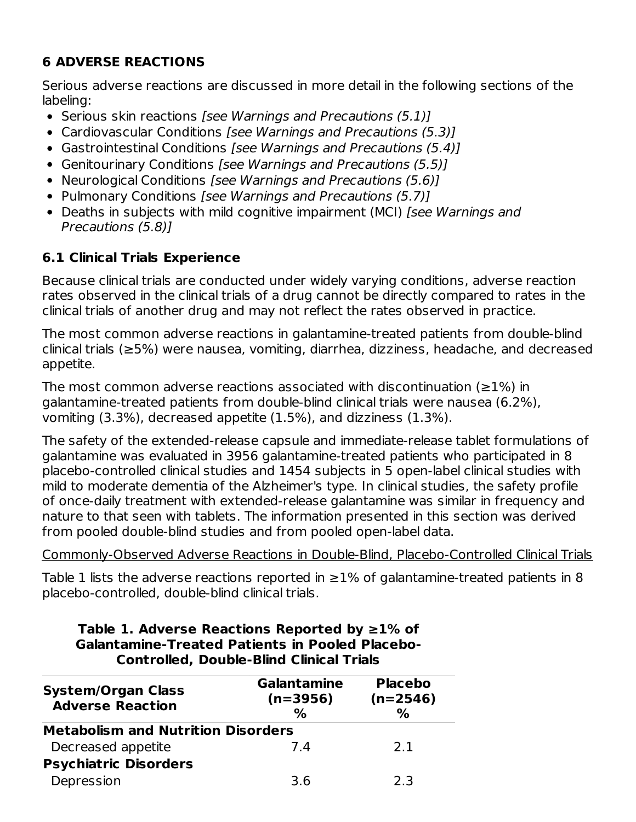# **6 ADVERSE REACTIONS**

Serious adverse reactions are discussed in more detail in the following sections of the labeling:

- Serious skin reactions *[see Warnings and Precautions (5.1)]*
- Cardiovascular Conditions *[see Warnings and Precautions (5.3)]*
- Gastrointestinal Conditions [see Warnings and Precautions (5.4)]
- Genitourinary Conditions [see Warnings and Precautions (5.5)]
- Neurological Conditions [see Warnings and Precautions (5.6)]
- Pulmonary Conditions *[see Warnings and Precautions (5.7)]*
- Deaths in subjects with mild cognitive impairment (MCI) [see Warnings and Precautions (5.8)]

# **6.1 Clinical Trials Experience**

Because clinical trials are conducted under widely varying conditions, adverse reaction rates observed in the clinical trials of a drug cannot be directly compared to rates in the clinical trials of another drug and may not reflect the rates observed in practice.

The most common adverse reactions in galantamine-treated patients from double-blind clinical trials (≥5%) were nausea, vomiting, diarrhea, dizziness, headache, and decreased appetite.

The most common adverse reactions associated with discontinuation ( $\geq$ 1%) in galantamine-treated patients from double-blind clinical trials were nausea (6.2%), vomiting (3.3%), decreased appetite (1.5%), and dizziness (1.3%).

The safety of the extended-release capsule and immediate-release tablet formulations of galantamine was evaluated in 3956 galantamine-treated patients who participated in 8 placebo-controlled clinical studies and 1454 subjects in 5 open-label clinical studies with mild to moderate dementia of the Alzheimer's type. In clinical studies, the safety profile of once-daily treatment with extended-release galantamine was similar in frequency and nature to that seen with tablets. The information presented in this section was derived from pooled double-blind studies and from pooled open-label data.

# Commonly-Observed Adverse Reactions in Double-Blind, Placebo-Controlled Clinical Trials

Table 1 lists the adverse reactions reported in  $\geq$ 1% of galantamine-treated patients in 8 placebo-controlled, double-blind clinical trials.

| CONTROLEG, DOUDIE-DINIU CINICAL ITIAIS               |                                          |                                      |  |  |  |  |  |  |  |
|------------------------------------------------------|------------------------------------------|--------------------------------------|--|--|--|--|--|--|--|
| <b>System/Organ Class</b><br><b>Adverse Reaction</b> | <b>Galantamine</b><br>$(n=3956)$<br>$\%$ | <b>Placebo</b><br>$(n=2546)$<br>$\%$ |  |  |  |  |  |  |  |
| <b>Metabolism and Nutrition Disorders</b>            |                                          |                                      |  |  |  |  |  |  |  |
| Decreased appetite                                   | 7.4                                      | 2.1                                  |  |  |  |  |  |  |  |
| <b>Psychiatric Disorders</b>                         |                                          |                                      |  |  |  |  |  |  |  |
| Depression                                           | 3.6                                      | 2.3                                  |  |  |  |  |  |  |  |

#### **Table 1. Adverse Reactions Reported by ≥1% of Galantamine-Treated Patients in Pooled Placebo-Controlled, Double-Blind Clinical Trials**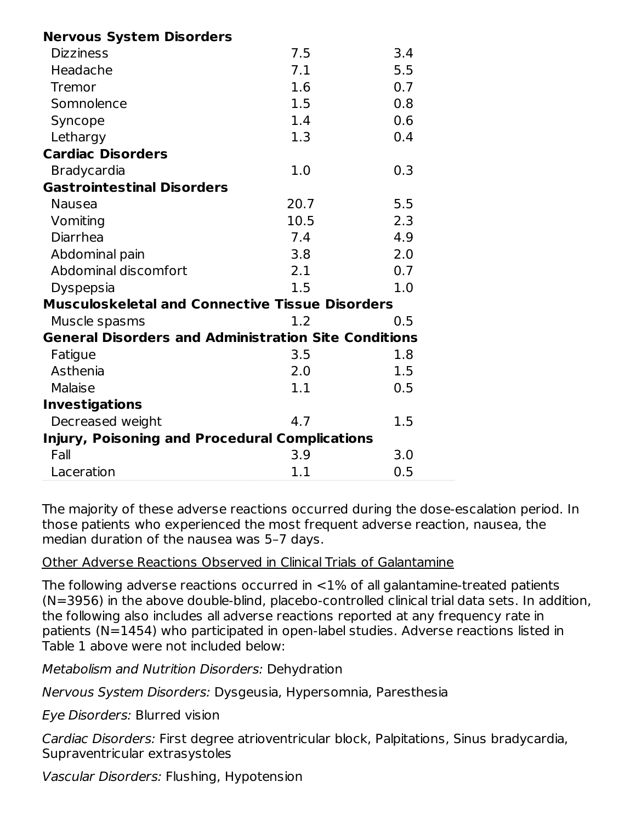| <b>Nervous System Disorders</b>                             |      |     |
|-------------------------------------------------------------|------|-----|
| <b>Dizziness</b>                                            | 7.5  | 3.4 |
| Headache                                                    | 7.1  | 5.5 |
| <b>Tremor</b>                                               | 1.6  | 0.7 |
| Somnolence                                                  | 1.5  | 0.8 |
| Syncope                                                     | 1.4  | 0.6 |
| Lethargy                                                    | 1.3  | 0.4 |
| <b>Cardiac Disorders</b>                                    |      |     |
| <b>Bradycardia</b>                                          | 1.0  | 0.3 |
| <b>Gastrointestinal Disorders</b>                           |      |     |
| <b>Nausea</b>                                               | 20.7 | 5.5 |
| Vomiting                                                    | 10.5 | 2.3 |
| <b>Diarrhea</b>                                             | 7.4  | 4.9 |
| Abdominal pain                                              | 3.8  | 2.0 |
| Abdominal discomfort                                        | 2.1  | 0.7 |
| <b>Dyspepsia</b>                                            | 1.5  | 1.0 |
| <b>Musculoskeletal and Connective Tissue Disorders</b>      |      |     |
| Muscle spasms                                               | 1.2  | 0.5 |
| <b>General Disorders and Administration Site Conditions</b> |      |     |
| Fatigue                                                     | 3.5  | 1.8 |
| Asthenia                                                    | 2.0  | 1.5 |
| Malaise                                                     | 1.1  | 0.5 |
| <b>Investigations</b>                                       |      |     |
| Decreased weight                                            | 4.7  | 1.5 |
| <b>Injury, Poisoning and Procedural Complications</b>       |      |     |
| Fall                                                        | 3.9  | 3.0 |
| Laceration                                                  | 1.1  | 0.5 |

The majority of these adverse reactions occurred during the dose-escalation period. In those patients who experienced the most frequent adverse reaction, nausea, the median duration of the nausea was 5–7 days.

### Other Adverse Reactions Observed in Clinical Trials of Galantamine

The following adverse reactions occurred in <1% of all galantamine-treated patients (N=3956) in the above double-blind, placebo-controlled clinical trial data sets. In addition, the following also includes all adverse reactions reported at any frequency rate in patients (N=1454) who participated in open-label studies. Adverse reactions listed in Table 1 above were not included below:

Metabolism and Nutrition Disorders: Dehydration

Nervous System Disorders: Dysgeusia, Hypersomnia, Paresthesia

Eye Disorders: Blurred vision

Cardiac Disorders: First degree atrioventricular block, Palpitations, Sinus bradycardia, Supraventricular extrasystoles

Vascular Disorders: Flushing, Hypotension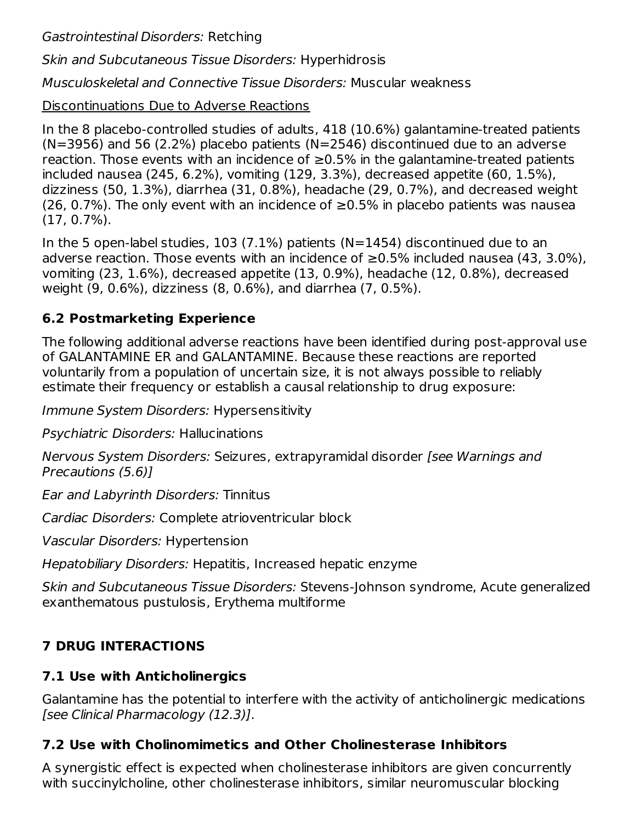Gastrointestinal Disorders: Retching

Skin and Subcutaneous Tissue Disorders: Hyperhidrosis

Musculoskeletal and Connective Tissue Disorders: Muscular weakness

## Discontinuations Due to Adverse Reactions

In the 8 placebo-controlled studies of adults, 418 (10.6%) galantamine-treated patients  $(N=3956)$  and 56 (2.2%) placebo patients  $(N=2546)$  discontinued due to an adverse reaction. Those events with an incidence of  $\geq 0.5\%$  in the galantamine-treated patients included nausea (245, 6.2%), vomiting (129, 3.3%), decreased appetite (60, 1.5%), dizziness (50, 1.3%), diarrhea (31, 0.8%), headache (29, 0.7%), and decreased weight (26, 0.7%). The only event with an incidence of  $\geq$ 0.5% in placebo patients was nausea (17, 0.7%).

In the 5 open-label studies, 103 (7.1%) patients (N=1454) discontinued due to an adverse reaction. Those events with an incidence of  $≥0.5%$  included nausea (43, 3.0%), vomiting (23, 1.6%), decreased appetite (13, 0.9%), headache (12, 0.8%), decreased weight (9, 0.6%), dizziness (8, 0.6%), and diarrhea (7, 0.5%).

# **6.2 Postmarketing Experience**

The following additional adverse reactions have been identified during post-approval use of GALANTAMINE ER and GALANTAMINE. Because these reactions are reported voluntarily from a population of uncertain size, it is not always possible to reliably estimate their frequency or establish a causal relationship to drug exposure:

Immune System Disorders: Hypersensitivity

Psychiatric Disorders: Hallucinations

Nervous System Disorders: Seizures, extrapyramidal disorder [see Warnings and Precautions (5.6)]

Ear and Labyrinth Disorders: Tinnitus

Cardiac Disorders: Complete atrioventricular block

Vascular Disorders: Hypertension

Hepatobiliary Disorders: Hepatitis, Increased hepatic enzyme

Skin and Subcutaneous Tissue Disorders: Stevens-Johnson syndrome, Acute generalized exanthematous pustulosis, Erythema multiforme

# **7 DRUG INTERACTIONS**

# **7.1 Use with Anticholinergics**

Galantamine has the potential to interfere with the activity of anticholinergic medications [see Clinical Pharmacology (12.3)].

# **7.2 Use with Cholinomimetics and Other Cholinesterase Inhibitors**

A synergistic effect is expected when cholinesterase inhibitors are given concurrently with succinylcholine, other cholinesterase inhibitors, similar neuromuscular blocking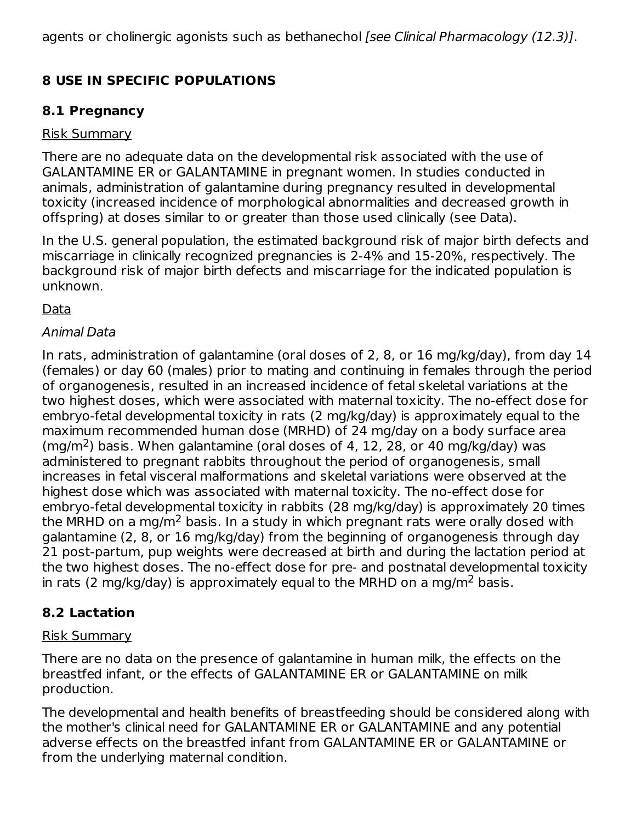agents or cholinergic agonists such as bethanechol (see Clinical Pharmacology (12.3)].

# **8 USE IN SPECIFIC POPULATIONS**

### **8.1 Pregnancy**

#### Risk Summary

There are no adequate data on the developmental risk associated with the use of GALANTAMINE ER or GALANTAMINE in pregnant women. In studies conducted in animals, administration of galantamine during pregnancy resulted in developmental toxicity (increased incidence of morphological abnormalities and decreased growth in offspring) at doses similar to or greater than those used clinically (see Data).

In the U.S. general population, the estimated background risk of major birth defects and miscarriage in clinically recognized pregnancies is 2-4% and 15-20%, respectively. The background risk of major birth defects and miscarriage for the indicated population is unknown.

Data

### Animal Data

In rats, administration of galantamine (oral doses of 2, 8, or 16 mg/kg/day), from day 14 (females) or day 60 (males) prior to mating and continuing in females through the period of organogenesis, resulted in an increased incidence of fetal skeletal variations at the two highest doses, which were associated with maternal toxicity. The no-effect dose for embryo-fetal developmental toxicity in rats (2 mg/kg/day) is approximately equal to the maximum recommended human dose (MRHD) of 24 mg/day on a body surface area  $\rm (mg/m^2)$  basis. When galantamine (oral doses of 4, 12, 28, or 40 mg/kg/day) was administered to pregnant rabbits throughout the period of organogenesis, small increases in fetal visceral malformations and skeletal variations were observed at the highest dose which was associated with maternal toxicity. The no-effect dose for embryo-fetal developmental toxicity in rabbits (28 mg/kg/day) is approximately 20 times the MRHD on a mg/m<sup>2</sup> basis. In a study in which pregnant rats were orally dosed with galantamine (2, 8, or 16 mg/kg/day) from the beginning of organogenesis through day 21 post-partum, pup weights were decreased at birth and during the lactation period at the two highest doses. The no-effect dose for pre- and postnatal developmental toxicity in rats (2 mg/kg/day) is approximately equal to the MRHD on a mg/m<sup>2</sup> basis.

# **8.2 Lactation**

### Risk Summary

There are no data on the presence of galantamine in human milk, the effects on the breastfed infant, or the effects of GALANTAMINE ER or GALANTAMINE on milk production.

The developmental and health benefits of breastfeeding should be considered along with the mother's clinical need for GALANTAMINE ER or GALANTAMINE and any potential adverse effects on the breastfed infant from GALANTAMINE ER or GALANTAMINE or from the underlying maternal condition.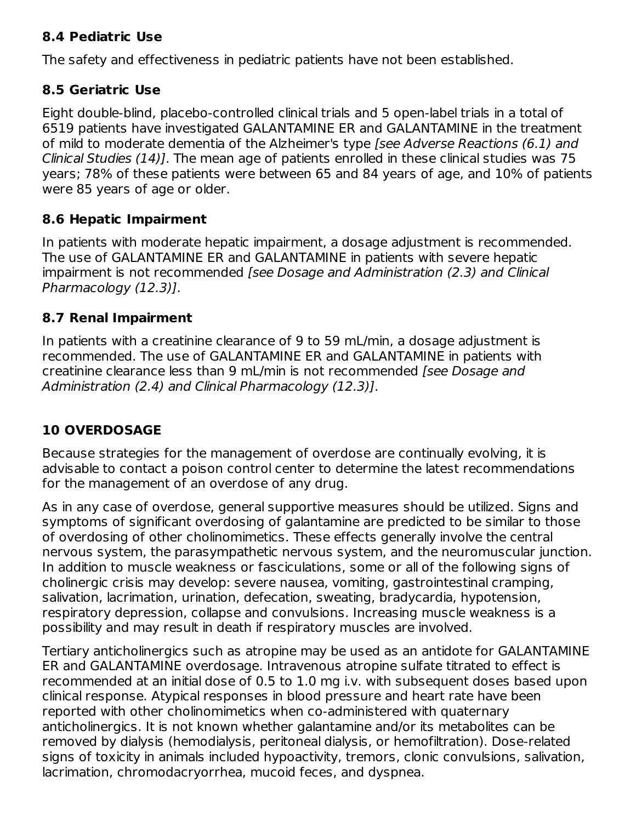#### **8.4 Pediatric Use**

The safety and effectiveness in pediatric patients have not been established.

#### **8.5 Geriatric Use**

Eight double-blind, placebo-controlled clinical trials and 5 open-label trials in a total of 6519 patients have investigated GALANTAMINE ER and GALANTAMINE in the treatment of mild to moderate dementia of the Alzheimer's type [see Adverse Reactions (6.1) and Clinical Studies (14)]. The mean age of patients enrolled in these clinical studies was 75 years; 78% of these patients were between 65 and 84 years of age, and 10% of patients were 85 years of age or older.

#### **8.6 Hepatic Impairment**

In patients with moderate hepatic impairment, a dosage adjustment is recommended. The use of GALANTAMINE ER and GALANTAMINE in patients with severe hepatic impairment is not recommended [see Dosage and Administration (2.3) and Clinical Pharmacology (12.3)].

#### **8.7 Renal Impairment**

In patients with a creatinine clearance of 9 to 59 mL/min, a dosage adjustment is recommended. The use of GALANTAMINE ER and GALANTAMINE in patients with creatinine clearance less than 9 mL/min is not recommended [see Dosage and Administration (2.4) and Clinical Pharmacology (12.3)].

# **10 OVERDOSAGE**

Because strategies for the management of overdose are continually evolving, it is advisable to contact a poison control center to determine the latest recommendations for the management of an overdose of any drug.

As in any case of overdose, general supportive measures should be utilized. Signs and symptoms of significant overdosing of galantamine are predicted to be similar to those of overdosing of other cholinomimetics. These effects generally involve the central nervous system, the parasympathetic nervous system, and the neuromuscular junction. In addition to muscle weakness or fasciculations, some or all of the following signs of cholinergic crisis may develop: severe nausea, vomiting, gastrointestinal cramping, salivation, lacrimation, urination, defecation, sweating, bradycardia, hypotension, respiratory depression, collapse and convulsions. Increasing muscle weakness is a possibility and may result in death if respiratory muscles are involved.

Tertiary anticholinergics such as atropine may be used as an antidote for GALANTAMINE ER and GALANTAMINE overdosage. Intravenous atropine sulfate titrated to effect is recommended at an initial dose of 0.5 to 1.0 mg i.v. with subsequent doses based upon clinical response. Atypical responses in blood pressure and heart rate have been reported with other cholinomimetics when co-administered with quaternary anticholinergics. It is not known whether galantamine and/or its metabolites can be removed by dialysis (hemodialysis, peritoneal dialysis, or hemofiltration). Dose-related signs of toxicity in animals included hypoactivity, tremors, clonic convulsions, salivation, lacrimation, chromodacryorrhea, mucoid feces, and dyspnea.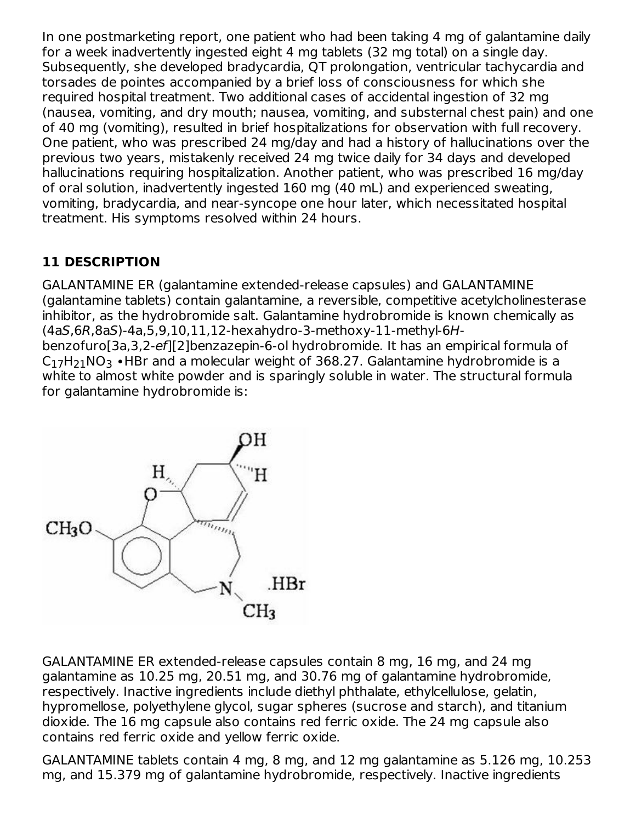In one postmarketing report, one patient who had been taking 4 mg of galantamine daily for a week inadvertently ingested eight 4 mg tablets (32 mg total) on a single day. Subsequently, she developed bradycardia, QT prolongation, ventricular tachycardia and torsades de pointes accompanied by a brief loss of consciousness for which she required hospital treatment. Two additional cases of accidental ingestion of 32 mg (nausea, vomiting, and dry mouth; nausea, vomiting, and substernal chest pain) and one of 40 mg (vomiting), resulted in brief hospitalizations for observation with full recovery. One patient, who was prescribed 24 mg/day and had a history of hallucinations over the previous two years, mistakenly received 24 mg twice daily for 34 days and developed hallucinations requiring hospitalization. Another patient, who was prescribed 16 mg/day of oral solution, inadvertently ingested 160 mg (40 mL) and experienced sweating, vomiting, bradycardia, and near-syncope one hour later, which necessitated hospital treatment. His symptoms resolved within 24 hours.

# **11 DESCRIPTION**

GALANTAMINE ER (galantamine extended-release capsules) and GALANTAMINE (galantamine tablets) contain galantamine, a reversible, competitive acetylcholinesterase inhibitor, as the hydrobromide salt. Galantamine hydrobromide is known chemically as (4aS,6R,8aS)-4a,5,9,10,11,12-hexahydro-3-methoxy-11-methyl-6Hbenzofuro[3a,3,2-ef][2]benzazepin-6-ol hydrobromide. It has an empirical formula of  $\mathsf{C}_{17}\mathsf{H}_{21}\mathsf{NO}_3\;$ • $\mathsf{HBr}\;$ and a molecular weight of 368.27. Galantamine hydrobromide is a white to almost white powder and is sparingly soluble in water. The structural formula for galantamine hydrobromide is:



GALANTAMINE ER extended-release capsules contain 8 mg, 16 mg, and 24 mg galantamine as 10.25 mg, 20.51 mg, and 30.76 mg of galantamine hydrobromide, respectively. Inactive ingredients include diethyl phthalate, ethylcellulose, gelatin, hypromellose, polyethylene glycol, sugar spheres (sucrose and starch), and titanium dioxide. The 16 mg capsule also contains red ferric oxide. The 24 mg capsule also contains red ferric oxide and yellow ferric oxide.

GALANTAMINE tablets contain 4 mg, 8 mg, and 12 mg galantamine as 5.126 mg, 10.253 mg, and 15.379 mg of galantamine hydrobromide, respectively. Inactive ingredients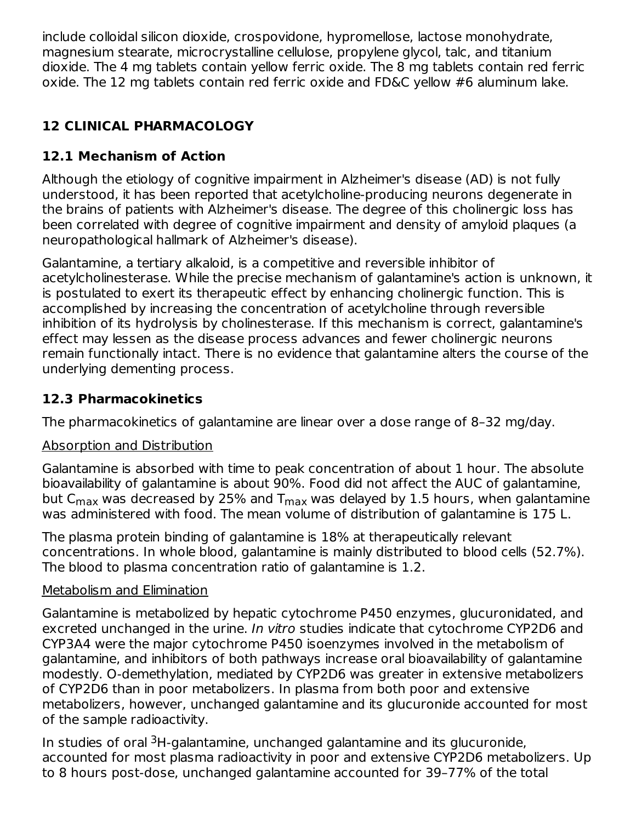include colloidal silicon dioxide, crospovidone, hypromellose, lactose monohydrate, magnesium stearate, microcrystalline cellulose, propylene glycol, talc, and titanium dioxide. The 4 mg tablets contain yellow ferric oxide. The 8 mg tablets contain red ferric oxide. The 12 mg tablets contain red ferric oxide and FD&C yellow #6 aluminum lake.

# **12 CLINICAL PHARMACOLOGY**

# **12.1 Mechanism of Action**

Although the etiology of cognitive impairment in Alzheimer's disease (AD) is not fully understood, it has been reported that acetylcholine-producing neurons degenerate in the brains of patients with Alzheimer's disease. The degree of this cholinergic loss has been correlated with degree of cognitive impairment and density of amyloid plaques (a neuropathological hallmark of Alzheimer's disease).

Galantamine, a tertiary alkaloid, is a competitive and reversible inhibitor of acetylcholinesterase. While the precise mechanism of galantamine's action is unknown, it is postulated to exert its therapeutic effect by enhancing cholinergic function. This is accomplished by increasing the concentration of acetylcholine through reversible inhibition of its hydrolysis by cholinesterase. If this mechanism is correct, galantamine's effect may lessen as the disease process advances and fewer cholinergic neurons remain functionally intact. There is no evidence that galantamine alters the course of the underlying dementing process.

## **12.3 Pharmacokinetics**

The pharmacokinetics of galantamine are linear over a dose range of 8–32 mg/day.

### Absorption and Distribution

Galantamine is absorbed with time to peak concentration of about 1 hour. The absolute bioavailability of galantamine is about 90%. Food did not affect the AUC of galantamine, but C $_{\sf max}$  was decreased by 25% and T $_{\sf max}$  was delayed by 1.5 hours, when galantamine was administered with food. The mean volume of distribution of galantamine is 175 L.

The plasma protein binding of galantamine is 18% at therapeutically relevant concentrations. In whole blood, galantamine is mainly distributed to blood cells (52.7%). The blood to plasma concentration ratio of galantamine is 1.2.

# Metabolism and Elimination

Galantamine is metabolized by hepatic cytochrome P450 enzymes, glucuronidated, and excreted unchanged in the urine. In vitro studies indicate that cytochrome CYP2D6 and CYP3A4 were the major cytochrome P450 isoenzymes involved in the metabolism of galantamine, and inhibitors of both pathways increase oral bioavailability of galantamine modestly. O-demethylation, mediated by CYP2D6 was greater in extensive metabolizers of CYP2D6 than in poor metabolizers. In plasma from both poor and extensive metabolizers, however, unchanged galantamine and its glucuronide accounted for most of the sample radioactivity.

In studies of oral <sup>3</sup>H-galantamine, unchanged galantamine and its glucuronide, accounted for most plasma radioactivity in poor and extensive CYP2D6 metabolizers. Up to 8 hours post-dose, unchanged galantamine accounted for 39–77% of the total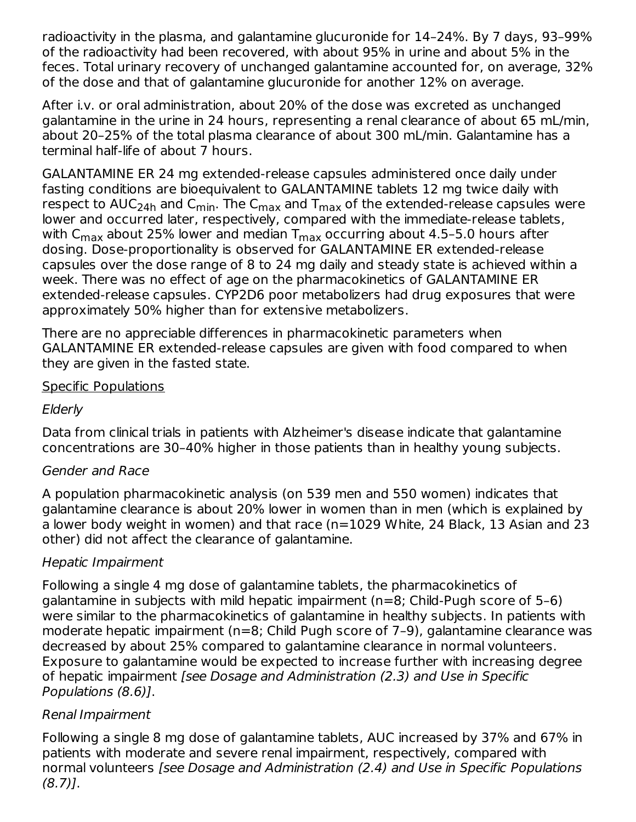radioactivity in the plasma, and galantamine glucuronide for 14–24%. By 7 days, 93–99% of the radioactivity had been recovered, with about 95% in urine and about 5% in the feces. Total urinary recovery of unchanged galantamine accounted for, on average, 32% of the dose and that of galantamine glucuronide for another 12% on average.

After i.v. or oral administration, about 20% of the dose was excreted as unchanged galantamine in the urine in 24 hours, representing a renal clearance of about 65 mL/min, about 20–25% of the total plasma clearance of about 300 mL/min. Galantamine has a terminal half-life of about 7 hours.

GALANTAMINE ER 24 mg extended-release capsules administered once daily under fasting conditions are bioequivalent to GALANTAMINE tablets 12 mg twice daily with respect to AUC<sub>24h</sub> and C<sub>min</sub>. The C<sub>max</sub> and T<sub>max</sub> of the extended-release capsules were lower and occurred later, respectively, compared with the immediate-release tablets, with C $_{\sf max}$  about 25% lower and median T $_{\sf max}$  occurring about 4.5–5.0 hours after dosing. Dose-proportionality is observed for GALANTAMINE ER extended-release capsules over the dose range of 8 to 24 mg daily and steady state is achieved within a week. There was no effect of age on the pharmacokinetics of GALANTAMINE ER extended-release capsules. CYP2D6 poor metabolizers had drug exposures that were approximately 50% higher than for extensive metabolizers.

There are no appreciable differences in pharmacokinetic parameters when GALANTAMINE ER extended-release capsules are given with food compared to when they are given in the fasted state.

#### Specific Populations

#### Elderly

Data from clinical trials in patients with Alzheimer's disease indicate that galantamine concentrations are 30–40% higher in those patients than in healthy young subjects.

### Gender and Race

A population pharmacokinetic analysis (on 539 men and 550 women) indicates that galantamine clearance is about 20% lower in women than in men (which is explained by a lower body weight in women) and that race (n=1029 White, 24 Black, 13 Asian and 23 other) did not affect the clearance of galantamine.

### Hepatic Impairment

Following a single 4 mg dose of galantamine tablets, the pharmacokinetics of galantamine in subjects with mild hepatic impairment (n=8; Child-Pugh score of 5–6) were similar to the pharmacokinetics of galantamine in healthy subjects. In patients with moderate hepatic impairment (n=8; Child Pugh score of 7–9), galantamine clearance was decreased by about 25% compared to galantamine clearance in normal volunteers. Exposure to galantamine would be expected to increase further with increasing degree of hepatic impairment [see Dosage and Administration (2.3) and Use in Specific Populations (8.6)].

### Renal Impairment

Following a single 8 mg dose of galantamine tablets, AUC increased by 37% and 67% in patients with moderate and severe renal impairment, respectively, compared with normal volunteers [see Dosage and Administration (2.4) and Use in Specific Populations (8.7)].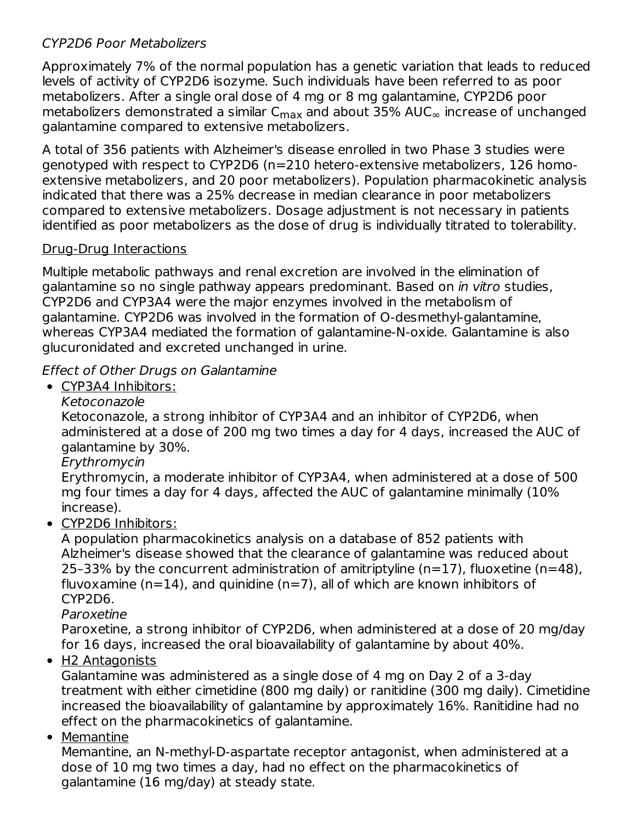#### CYP2D6 Poor Metabolizers

Approximately 7% of the normal population has a genetic variation that leads to reduced levels of activity of CYP2D6 isozyme. Such individuals have been referred to as poor metabolizers. After a single oral dose of 4 mg or 8 mg galantamine, CYP2D6 poor metabolizers demonstrated a similar C $_{\sf max}$  and about 35% AUC $_{\infty}$  increase of unchanged galantamine compared to extensive metabolizers.

A total of 356 patients with Alzheimer's disease enrolled in two Phase 3 studies were genotyped with respect to CYP2D6 (n=210 hetero-extensive metabolizers, 126 homoextensive metabolizers, and 20 poor metabolizers). Population pharmacokinetic analysis indicated that there was a 25% decrease in median clearance in poor metabolizers compared to extensive metabolizers. Dosage adjustment is not necessary in patients identified as poor metabolizers as the dose of drug is individually titrated to tolerability.

#### Drug-Drug Interactions

Multiple metabolic pathways and renal excretion are involved in the elimination of galantamine so no single pathway appears predominant. Based on in vitro studies, CYP2D6 and CYP3A4 were the major enzymes involved in the metabolism of galantamine. CYP2D6 was involved in the formation of O-desmethyl-galantamine, whereas CYP3A4 mediated the formation of galantamine-N-oxide. Galantamine is also glucuronidated and excreted unchanged in urine.

### Effect of Other Drugs on Galantamine

CYP3A4 Inhibitors:

Ketoconazole

Ketoconazole, a strong inhibitor of CYP3A4 and an inhibitor of CYP2D6, when administered at a dose of 200 mg two times a day for 4 days, increased the AUC of galantamine by 30%.

Erythromycin

Erythromycin, a moderate inhibitor of CYP3A4, when administered at a dose of 500 mg four times a day for 4 days, affected the AUC of galantamine minimally (10% increase).

• CYP2D6 Inhibitors:

A population pharmacokinetics analysis on a database of 852 patients with Alzheimer's disease showed that the clearance of galantamine was reduced about 25–33% by the concurrent administration of amitriptyline (n=17), fluoxetine (n=48), fluvoxamine ( $n=14$ ), and quinidine ( $n=7$ ), all of which are known inhibitors of CYP2D6.

Paroxetine

Paroxetine, a strong inhibitor of CYP2D6, when administered at a dose of 20 mg/day for 16 days, increased the oral bioavailability of galantamine by about 40%.

• H2 Antagonists

Galantamine was administered as a single dose of 4 mg on Day 2 of a 3-day treatment with either cimetidine (800 mg daily) or ranitidine (300 mg daily). Cimetidine increased the bioavailability of galantamine by approximately 16%. Ranitidine had no effect on the pharmacokinetics of galantamine.

• Memantine

Memantine, an N-methyl-D-aspartate receptor antagonist, when administered at a dose of 10 mg two times a day, had no effect on the pharmacokinetics of galantamine (16 mg/day) at steady state.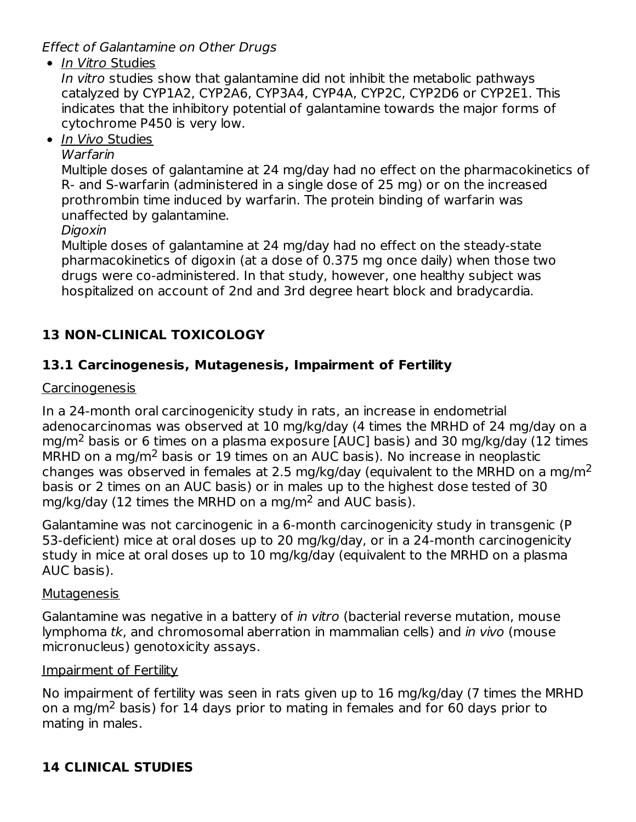Effect of Galantamine on Other Drugs

• In Vitro Studies

In vitro studies show that galantamine did not inhibit the metabolic pathways catalyzed by CYP1A2, CYP2A6, CYP3A4, CYP4A, CYP2C, CYP2D6 or CYP2E1. This indicates that the inhibitory potential of galantamine towards the major forms of cytochrome P450 is very low.

• In Vivo Studies

#### Warfarin

Multiple doses of galantamine at 24 mg/day had no effect on the pharmacokinetics of R- and S-warfarin (administered in a single dose of 25 mg) or on the increased prothrombin time induced by warfarin. The protein binding of warfarin was unaffected by galantamine.

Digoxin

Multiple doses of galantamine at 24 mg/day had no effect on the steady-state pharmacokinetics of digoxin (at a dose of 0.375 mg once daily) when those two drugs were co-administered. In that study, however, one healthy subject was hospitalized on account of 2nd and 3rd degree heart block and bradycardia.

# **13 NON-CLINICAL TOXICOLOGY**

## **13.1 Carcinogenesis, Mutagenesis, Impairment of Fertility**

#### Carcinogenesis

In a 24-month oral carcinogenicity study in rats, an increase in endometrial adenocarcinomas was observed at 10 mg/kg/day (4 times the MRHD of 24 mg/day on a mg/m<sup>2</sup> basis or 6 times on a plasma exposure [AUC] basis) and 30 mg/kg/day (12 times MRHD on a mg/m<sup>2</sup> basis or 19 times on an AUC basis). No increase in neoplastic changes was observed in females at 2.5 mg/kg/day (equivalent to the MRHD on a mg/m<sup>2</sup> basis or 2 times on an AUC basis) or in males up to the highest dose tested of 30 mg/kg/day (12 times the MRHD on a mg/m<sup>2</sup> and AUC basis).

Galantamine was not carcinogenic in a 6-month carcinogenicity study in transgenic (P 53-deficient) mice at oral doses up to 20 mg/kg/day, or in a 24-month carcinogenicity study in mice at oral doses up to 10 mg/kg/day (equivalent to the MRHD on a plasma AUC basis).

#### **Mutagenesis**

Galantamine was negative in a battery of *in vitro* (bacterial reverse mutation, mouse lymphoma tk, and chromosomal aberration in mammalian cells) and in vivo (mouse micronucleus) genotoxicity assays.

### Impairment of Fertility

No impairment of fertility was seen in rats given up to 16 mg/kg/day (7 times the MRHD on a mg/m<sup>2</sup> basis) for 14 days prior to mating in females and for 60 days prior to mating in males.

# **14 CLINICAL STUDIES**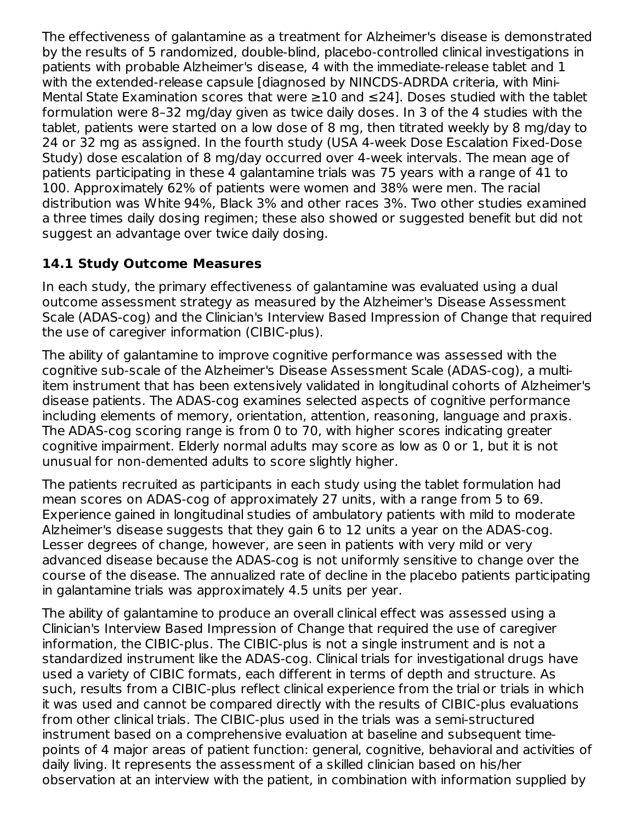The effectiveness of galantamine as a treatment for Alzheimer's disease is demonstrated by the results of 5 randomized, double-blind, placebo-controlled clinical investigations in patients with probable Alzheimer's disease, 4 with the immediate-release tablet and 1 with the extended-release capsule [diagnosed by NINCDS-ADRDA criteria, with Mini-Mental State Examination scores that were ≥10 and ≤24]. Doses studied with the tablet formulation were 8–32 mg/day given as twice daily doses. In 3 of the 4 studies with the tablet, patients were started on a low dose of 8 mg, then titrated weekly by 8 mg/day to 24 or 32 mg as assigned. In the fourth study (USA 4-week Dose Escalation Fixed-Dose Study) dose escalation of 8 mg/day occurred over 4-week intervals. The mean age of patients participating in these 4 galantamine trials was 75 years with a range of 41 to 100. Approximately 62% of patients were women and 38% were men. The racial distribution was White 94%, Black 3% and other races 3%. Two other studies examined a three times daily dosing regimen; these also showed or suggested benefit but did not suggest an advantage over twice daily dosing.

# **14.1 Study Outcome Measures**

In each study, the primary effectiveness of galantamine was evaluated using a dual outcome assessment strategy as measured by the Alzheimer's Disease Assessment Scale (ADAS-cog) and the Clinician's Interview Based Impression of Change that required the use of caregiver information (CIBIC-plus).

The ability of galantamine to improve cognitive performance was assessed with the cognitive sub-scale of the Alzheimer's Disease Assessment Scale (ADAS-cog), a multiitem instrument that has been extensively validated in longitudinal cohorts of Alzheimer's disease patients. The ADAS-cog examines selected aspects of cognitive performance including elements of memory, orientation, attention, reasoning, language and praxis. The ADAS-cog scoring range is from 0 to 70, with higher scores indicating greater cognitive impairment. Elderly normal adults may score as low as 0 or 1, but it is not unusual for non-demented adults to score slightly higher.

The patients recruited as participants in each study using the tablet formulation had mean scores on ADAS-cog of approximately 27 units, with a range from 5 to 69. Experience gained in longitudinal studies of ambulatory patients with mild to moderate Alzheimer's disease suggests that they gain 6 to 12 units a year on the ADAS-cog. Lesser degrees of change, however, are seen in patients with very mild or very advanced disease because the ADAS-cog is not uniformly sensitive to change over the course of the disease. The annualized rate of decline in the placebo patients participating in galantamine trials was approximately 4.5 units per year.

The ability of galantamine to produce an overall clinical effect was assessed using a Clinician's Interview Based Impression of Change that required the use of caregiver information, the CIBIC-plus. The CIBIC-plus is not a single instrument and is not a standardized instrument like the ADAS-cog. Clinical trials for investigational drugs have used a variety of CIBIC formats, each different in terms of depth and structure. As such, results from a CIBIC-plus reflect clinical experience from the trial or trials in which it was used and cannot be compared directly with the results of CIBIC-plus evaluations from other clinical trials. The CIBIC-plus used in the trials was a semi-structured instrument based on a comprehensive evaluation at baseline and subsequent timepoints of 4 major areas of patient function: general, cognitive, behavioral and activities of daily living. It represents the assessment of a skilled clinician based on his/her observation at an interview with the patient, in combination with information supplied by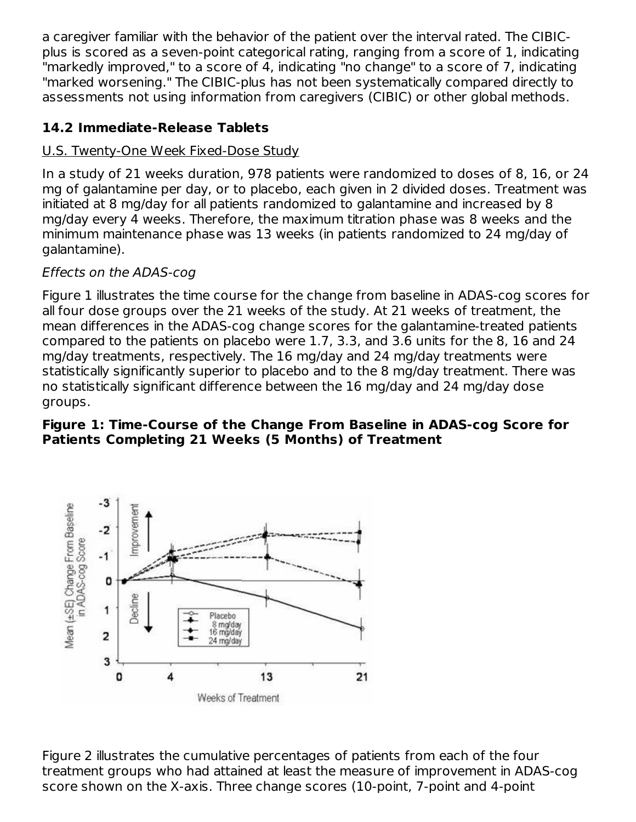a caregiver familiar with the behavior of the patient over the interval rated. The CIBICplus is scored as a seven-point categorical rating, ranging from a score of 1, indicating "markedly improved," to a score of 4, indicating "no change" to a score of 7, indicating "marked worsening." The CIBIC-plus has not been systematically compared directly to assessments not using information from caregivers (CIBIC) or other global methods.

### **14.2 Immediate-Release Tablets**

### U.S. Twenty-One Week Fixed-Dose Study

In a study of 21 weeks duration, 978 patients were randomized to doses of 8, 16, or 24 mg of galantamine per day, or to placebo, each given in 2 divided doses. Treatment was initiated at 8 mg/day for all patients randomized to galantamine and increased by 8 mg/day every 4 weeks. Therefore, the maximum titration phase was 8 weeks and the minimum maintenance phase was 13 weeks (in patients randomized to 24 mg/day of galantamine).

### Effects on the ADAS-cog

Figure 1 illustrates the time course for the change from baseline in ADAS-cog scores for all four dose groups over the 21 weeks of the study. At 21 weeks of treatment, the mean differences in the ADAS-cog change scores for the galantamine-treated patients compared to the patients on placebo were 1.7, 3.3, and 3.6 units for the 8, 16 and 24 mg/day treatments, respectively. The 16 mg/day and 24 mg/day treatments were statistically significantly superior to placebo and to the 8 mg/day treatment. There was no statistically significant difference between the 16 mg/day and 24 mg/day dose groups.

#### **Figure 1: Time-Course of the Change From Baseline in ADAS-cog Score for Patients Completing 21 Weeks (5 Months) of Treatment**



Figure 2 illustrates the cumulative percentages of patients from each of the four treatment groups who had attained at least the measure of improvement in ADAS-cog score shown on the X-axis. Three change scores (10-point, 7-point and 4-point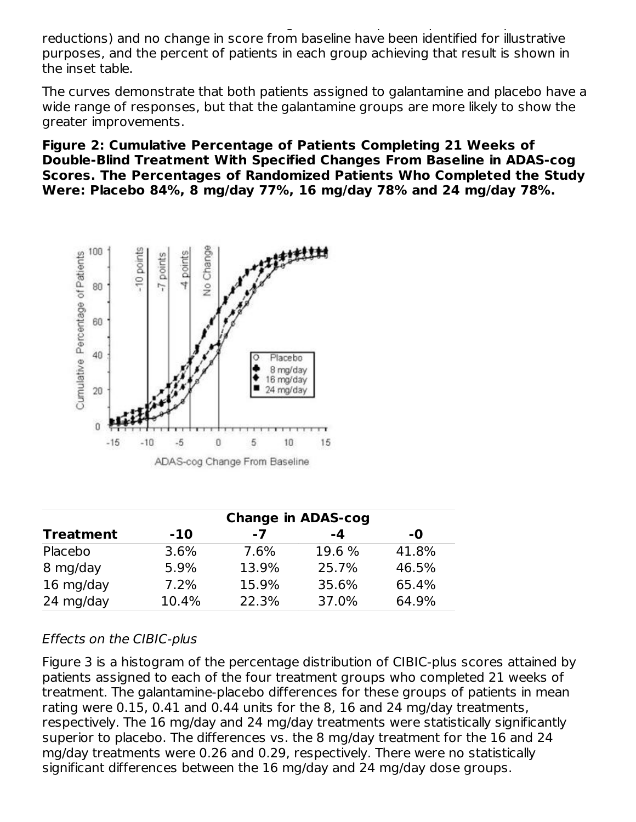score shown on the X-axis. Three change scores (10-point, 7-point and 4-point reductions) and no change in score from baseline have been identified for illustrative purposes, and the percent of patients in each group achieving that result is shown in the inset table.

The curves demonstrate that both patients assigned to galantamine and placebo have a wide range of responses, but that the galantamine groups are more likely to show the greater improvements.

**Figure 2: Cumulative Percentage of Patients Completing 21 Weeks of Double-Blind Treatment With Specified Changes From Baseline in ADAS-cog Scores. The Percentages of Randomized Patients Who Completed the Study Were: Placebo 84%, 8 mg/day 77%, 16 mg/day 78% and 24 mg/day 78%.**



|                  | <b>Change in ADAS-cog</b> |       |        |       |  |  |  |
|------------------|---------------------------|-------|--------|-------|--|--|--|
| <b>Treatment</b> | $-10$                     | -7    | -4     | -0    |  |  |  |
| Placebo          | 3.6%                      | 7.6%  | 19.6 % | 41.8% |  |  |  |
| 8 mg/day         | 5.9%                      | 13.9% | 25.7%  | 46.5% |  |  |  |
| 16 mg/day        | 7.2%                      | 15.9% | 35.6%  | 65.4% |  |  |  |
| 24 mg/day        | 10.4%                     | 22.3% | 37.0%  | 64.9% |  |  |  |

### Effects on the CIBIC-plus

Figure 3 is a histogram of the percentage distribution of CIBIC-plus scores attained by patients assigned to each of the four treatment groups who completed 21 weeks of treatment. The galantamine-placebo differences for these groups of patients in mean rating were 0.15, 0.41 and 0.44 units for the 8, 16 and 24 mg/day treatments, respectively. The 16 mg/day and 24 mg/day treatments were statistically significantly superior to placebo. The differences vs. the 8 mg/day treatment for the 16 and 24 mg/day treatments were 0.26 and 0.29, respectively. There were no statistically significant differences between the 16 mg/day and 24 mg/day dose groups.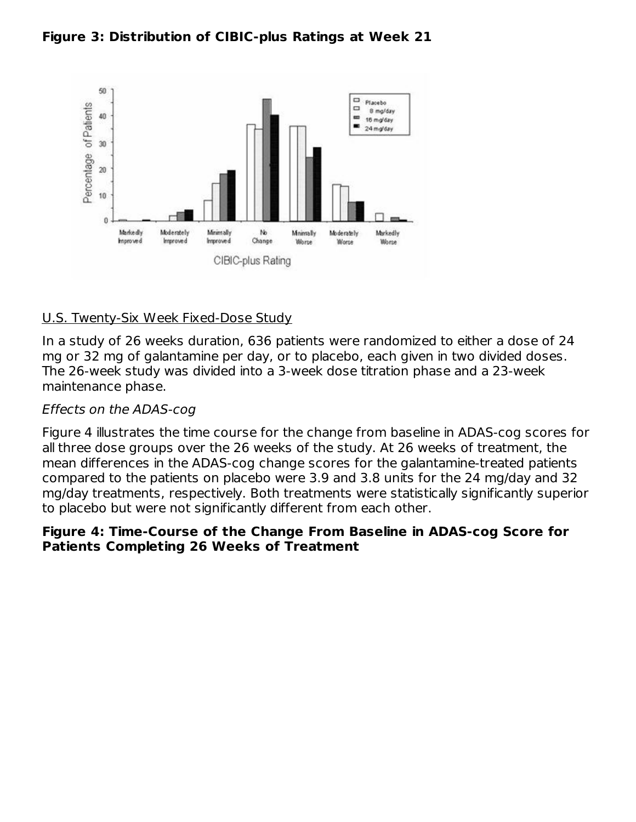



#### U.S. Twenty-Six Week Fixed-Dose Study

In a study of 26 weeks duration, 636 patients were randomized to either a dose of 24 mg or 32 mg of galantamine per day, or to placebo, each given in two divided doses. The 26-week study was divided into a 3-week dose titration phase and a 23-week maintenance phase.

#### Effects on the ADAS-cog

Figure 4 illustrates the time course for the change from baseline in ADAS-cog scores for all three dose groups over the 26 weeks of the study. At 26 weeks of treatment, the mean differences in the ADAS-cog change scores for the galantamine-treated patients compared to the patients on placebo were 3.9 and 3.8 units for the 24 mg/day and 32 mg/day treatments, respectively. Both treatments were statistically significantly superior to placebo but were not significantly different from each other.

#### **Figure 4: Time-Course of the Change From Baseline in ADAS-cog Score for Patients Completing 26 Weeks of Treatment**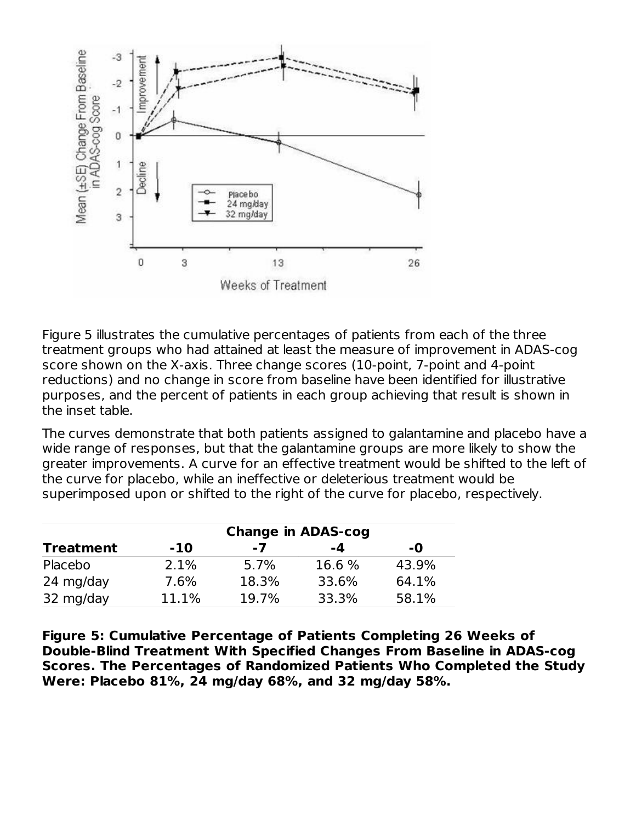

Figure 5 illustrates the cumulative percentages of patients from each of the three treatment groups who had attained at least the measure of improvement in ADAS-cog score shown on the X-axis. Three change scores (10-point, 7-point and 4-point reductions) and no change in score from baseline have been identified for illustrative purposes, and the percent of patients in each group achieving that result is shown in the inset table.

The curves demonstrate that both patients assigned to galantamine and placebo have a wide range of responses, but that the galantamine groups are more likely to show the greater improvements. A curve for an effective treatment would be shifted to the left of the curve for placebo, while an ineffective or deleterious treatment would be superimposed upon or shifted to the right of the curve for placebo, respectively.

|                  |       |       | <b>Change in ADAS-cog</b> |       |
|------------------|-------|-------|---------------------------|-------|
| <b>Treatment</b> | $-10$ | $-7$  | $-4$                      | -0    |
| Placebo          | 2.1%  | 5.7%  | 16.6 %                    | 43.9% |
| 24 mg/day        | 7.6%  | 18.3% | 33.6%                     | 64.1% |
| 32 mg/day        | 11.1% | 19.7% | 33.3%                     | 58.1% |

**Figure 5: Cumulative Percentage of Patients Completing 26 Weeks of Double-Blind Treatment With Specified Changes From Baseline in ADAS-cog Scores. The Percentages of Randomized Patients Who Completed the Study Were: Placebo 81%, 24 mg/day 68%, and 32 mg/day 58%.**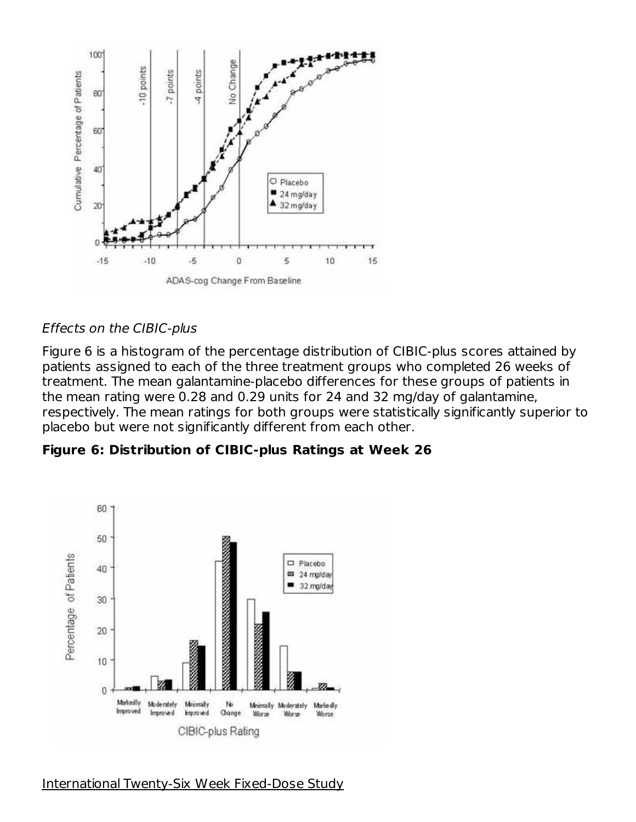

#### Effects on the CIBIC-plus

Figure 6 is a histogram of the percentage distribution of CIBIC-plus scores attained by patients assigned to each of the three treatment groups who completed 26 weeks of treatment. The mean galantamine-placebo differences for these groups of patients in the mean rating were 0.28 and 0.29 units for 24 and 32 mg/day of galantamine, respectively. The mean ratings for both groups were statistically significantly superior to placebo but were not significantly different from each other.

#### **Figure 6: Distribution of CIBIC-plus Ratings at Week 26**



# International Twenty-Six Week Fixed-Dose Study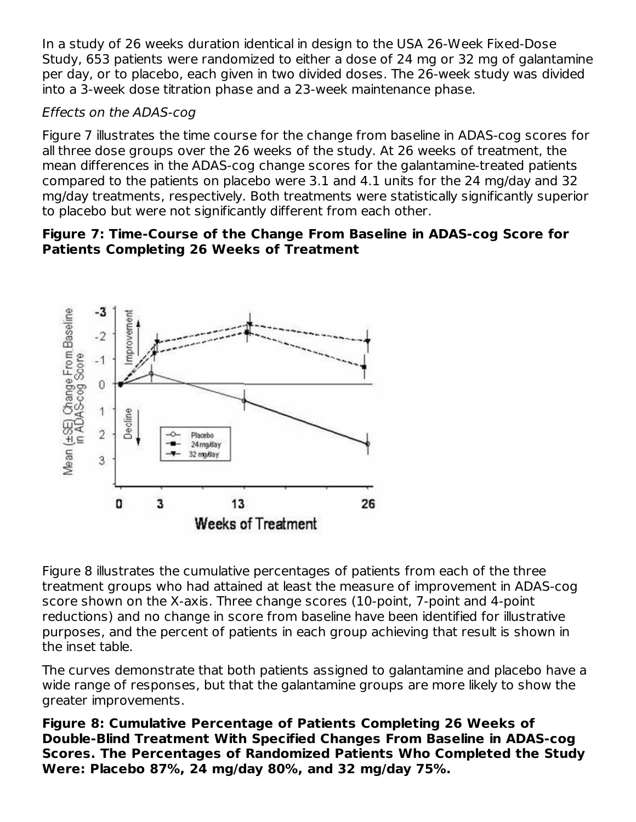In a study of 26 weeks duration identical in design to the USA 26-Week Fixed-Dose Study, 653 patients were randomized to either a dose of 24 mg or 32 mg of galantamine per day, or to placebo, each given in two divided doses. The 26-week study was divided into a 3-week dose titration phase and a 23-week maintenance phase.

#### Effects on the ADAS-cog

Figure 7 illustrates the time course for the change from baseline in ADAS-cog scores for all three dose groups over the 26 weeks of the study. At 26 weeks of treatment, the mean differences in the ADAS-cog change scores for the galantamine-treated patients compared to the patients on placebo were 3.1 and 4.1 units for the 24 mg/day and 32 mg/day treatments, respectively. Both treatments were statistically significantly superior to placebo but were not significantly different from each other.

#### **Figure 7: Time-Course of the Change From Baseline in ADAS-cog Score for Patients Completing 26 Weeks of Treatment**



Figure 8 illustrates the cumulative percentages of patients from each of the three treatment groups who had attained at least the measure of improvement in ADAS-cog score shown on the X-axis. Three change scores (10-point, 7-point and 4-point reductions) and no change in score from baseline have been identified for illustrative purposes, and the percent of patients in each group achieving that result is shown in the inset table.

The curves demonstrate that both patients assigned to galantamine and placebo have a wide range of responses, but that the galantamine groups are more likely to show the greater improvements.

**Figure 8: Cumulative Percentage of Patients Completing 26 Weeks of Double-Blind Treatment With Specified Changes From Baseline in ADAS-cog Scores. The Percentages of Randomized Patients Who Completed the Study Were: Placebo 87%, 24 mg/day 80%, and 32 mg/day 75%.**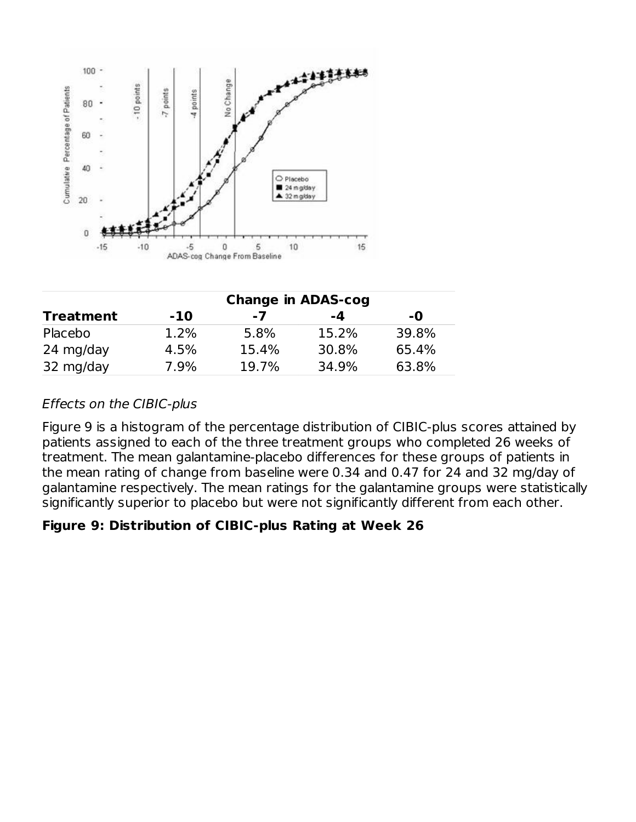

|                  |       | <b>Change in ADAS-cog</b> |       |       |
|------------------|-------|---------------------------|-------|-------|
| <b>Treatment</b> | $-10$ | $-7$                      | -4    | -0    |
| Placebo          | 1.2%  | 5.8%                      | 15.2% | 39.8% |
| 24 mg/day        | 4.5%  | 15.4%                     | 30.8% | 65.4% |
| 32 mg/day        | 7.9%  | 19.7%                     | 34.9% | 63.8% |

#### Effects on the CIBIC-plus

Figure 9 is a histogram of the percentage distribution of CIBIC-plus scores attained by patients assigned to each of the three treatment groups who completed 26 weeks of treatment. The mean galantamine-placebo differences for these groups of patients in the mean rating of change from baseline were 0.34 and 0.47 for 24 and 32 mg/day of galantamine respectively. The mean ratings for the galantamine groups were statistically significantly superior to placebo but were not significantly different from each other.

#### **Figure 9: Distribution of CIBIC-plus Rating at Week 26**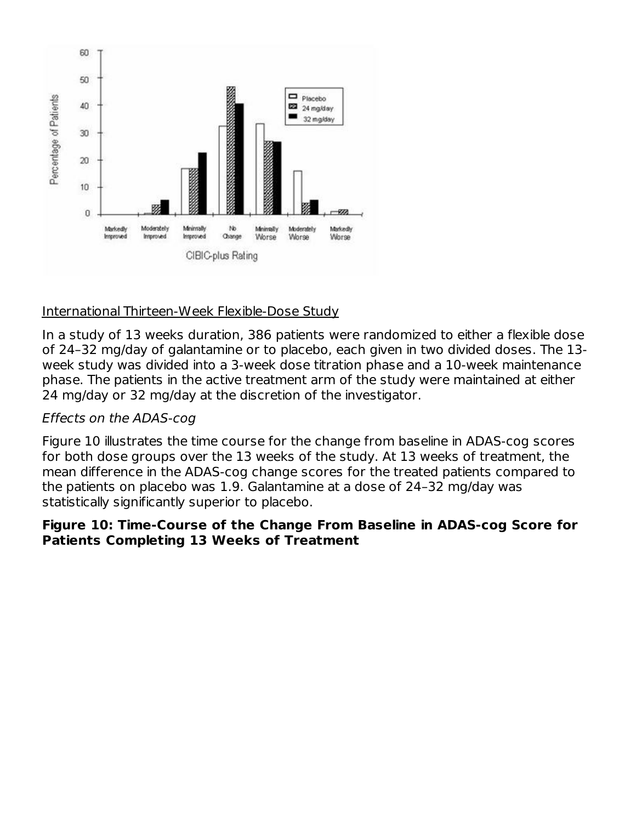

#### International Thirteen-Week Flexible-Dose Study

In a study of 13 weeks duration, 386 patients were randomized to either a flexible dose of 24–32 mg/day of galantamine or to placebo, each given in two divided doses. The 13 week study was divided into a 3-week dose titration phase and a 10-week maintenance phase. The patients in the active treatment arm of the study were maintained at either 24 mg/day or 32 mg/day at the discretion of the investigator.

#### Effects on the ADAS-cog

Figure 10 illustrates the time course for the change from baseline in ADAS-cog scores for both dose groups over the 13 weeks of the study. At 13 weeks of treatment, the mean difference in the ADAS-cog change scores for the treated patients compared to the patients on placebo was 1.9. Galantamine at a dose of 24–32 mg/day was statistically significantly superior to placebo.

#### **Figure 10: Time-Course of the Change From Baseline in ADAS-cog Score for Patients Completing 13 Weeks of Treatment**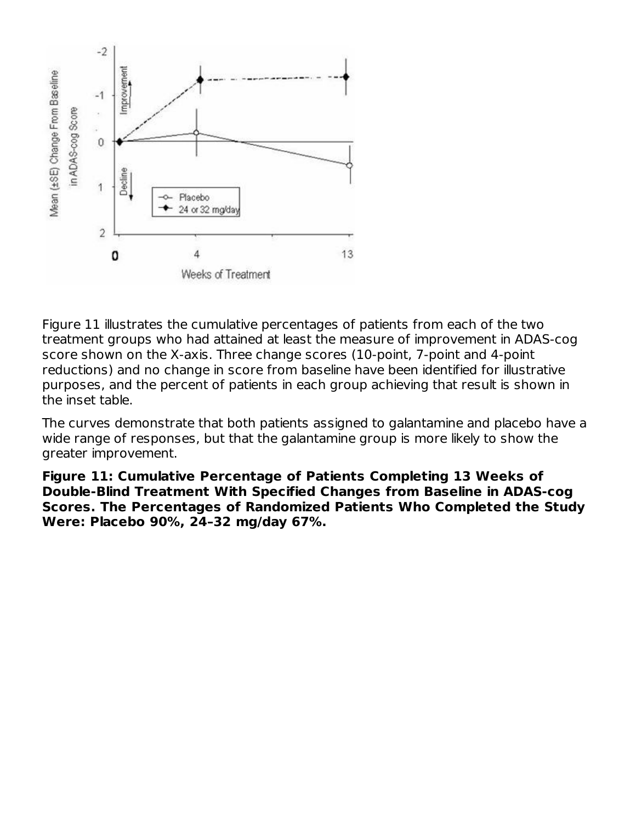

Figure 11 illustrates the cumulative percentages of patients from each of the two treatment groups who had attained at least the measure of improvement in ADAS-cog score shown on the X-axis. Three change scores (10-point, 7-point and 4-point reductions) and no change in score from baseline have been identified for illustrative purposes, and the percent of patients in each group achieving that result is shown in the inset table.

The curves demonstrate that both patients assigned to galantamine and placebo have a wide range of responses, but that the galantamine group is more likely to show the greater improvement.

**Figure 11: Cumulative Percentage of Patients Completing 13 Weeks of Double-Blind Treatment With Specified Changes from Baseline in ADAS-cog Scores. The Percentages of Randomized Patients Who Completed the Study Were: Placebo 90%, 24–32 mg/day 67%.**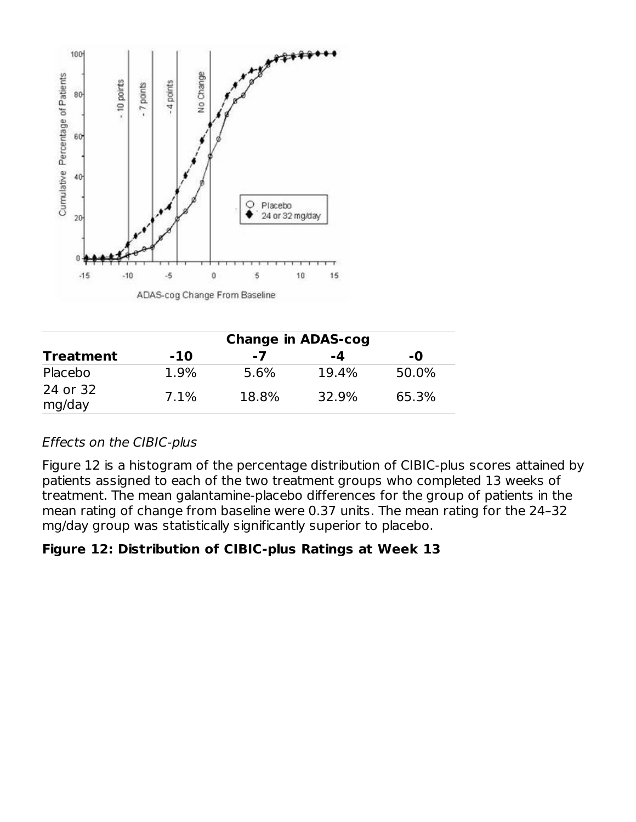

|                    | <b>Change in ADAS-cog</b> |       |       |       |  |  |  |
|--------------------|---------------------------|-------|-------|-------|--|--|--|
| <b>Treatment</b>   | $-10$                     | $-7$  | -4    | -0    |  |  |  |
| Placebo            | 1.9%                      | 5.6%  | 19.4% | 50.0% |  |  |  |
| 24 or 32<br>mg/day | 7.1%                      | 18.8% | 32.9% | 65.3% |  |  |  |

### Effects on the CIBIC-plus

Figure 12 is a histogram of the percentage distribution of CIBIC-plus scores attained by patients assigned to each of the two treatment groups who completed 13 weeks of treatment. The mean galantamine-placebo differences for the group of patients in the mean rating of change from baseline were 0.37 units. The mean rating for the 24–32 mg/day group was statistically significantly superior to placebo.

#### **Figure 12: Distribution of CIBIC-plus Ratings at Week 13**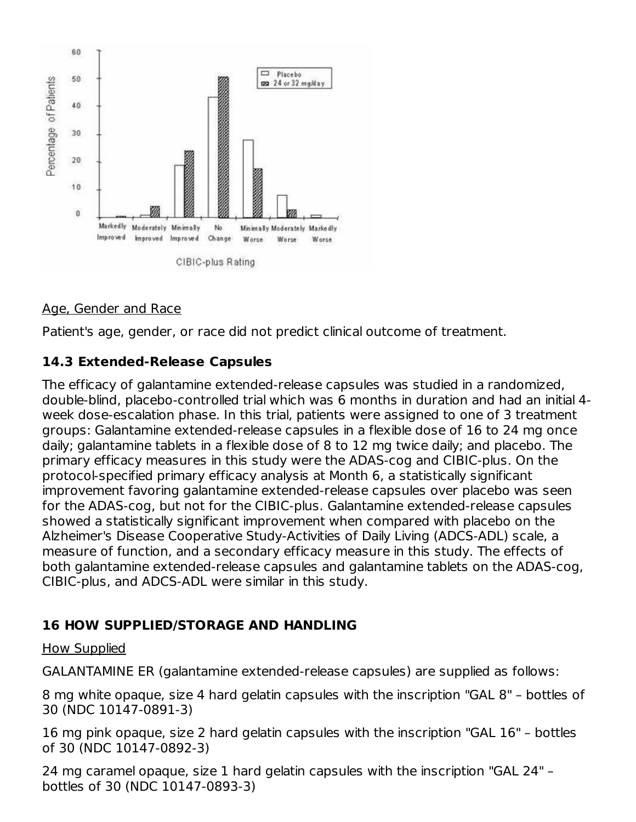

### Age, Gender and Race

Patient's age, gender, or race did not predict clinical outcome of treatment.

#### **14.3 Extended-Release Capsules**

The efficacy of galantamine extended-release capsules was studied in a randomized, double-blind, placebo-controlled trial which was 6 months in duration and had an initial 4 week dose-escalation phase. In this trial, patients were assigned to one of 3 treatment groups: Galantamine extended-release capsules in a flexible dose of 16 to 24 mg once daily; galantamine tablets in a flexible dose of 8 to 12 mg twice daily; and placebo. The primary efficacy measures in this study were the ADAS-cog and CIBIC-plus. On the protocol-specified primary efficacy analysis at Month 6, a statistically significant improvement favoring galantamine extended-release capsules over placebo was seen for the ADAS-cog, but not for the CIBIC-plus. Galantamine extended-release capsules showed a statistically significant improvement when compared with placebo on the Alzheimer's Disease Cooperative Study-Activities of Daily Living (ADCS-ADL) scale, a measure of function, and a secondary efficacy measure in this study. The effects of both galantamine extended-release capsules and galantamine tablets on the ADAS-cog, CIBIC-plus, and ADCS-ADL were similar in this study.

### **16 HOW SUPPLIED/STORAGE AND HANDLING**

#### How Supplied

GALANTAMINE ER (galantamine extended-release capsules) are supplied as follows:

8 mg white opaque, size 4 hard gelatin capsules with the inscription "GAL 8" – bottles of 30 (NDC 10147-0891-3)

16 mg pink opaque, size 2 hard gelatin capsules with the inscription "GAL 16" – bottles of 30 (NDC 10147-0892-3)

24 mg caramel opaque, size 1 hard gelatin capsules with the inscription "GAL 24" – bottles of 30 (NDC 10147-0893-3)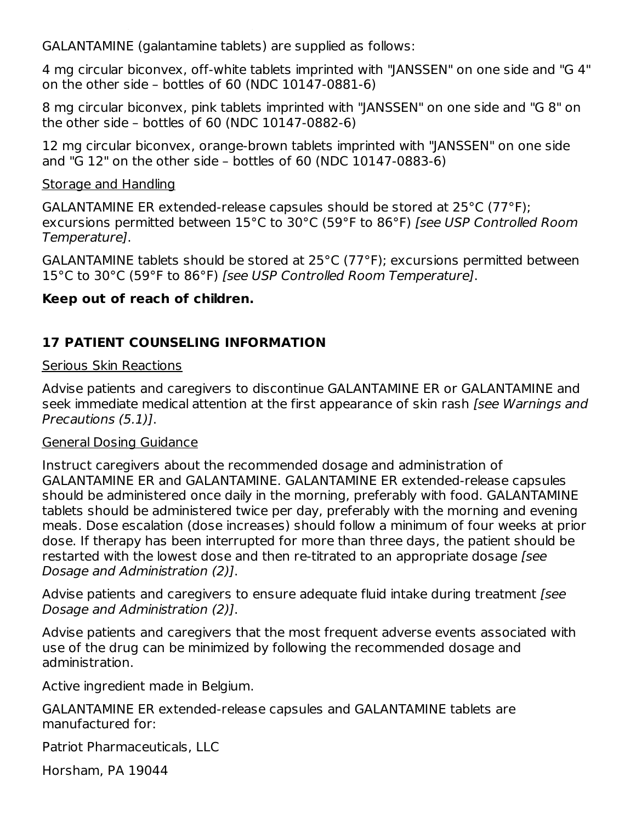GALANTAMINE (galantamine tablets) are supplied as follows:

4 mg circular biconvex, off-white tablets imprinted with "JANSSEN" on one side and "G 4" on the other side – bottles of 60 (NDC 10147-0881-6)

8 mg circular biconvex, pink tablets imprinted with "JANSSEN" on one side and "G 8" on the other side – bottles of 60 (NDC 10147-0882-6)

12 mg circular biconvex, orange-brown tablets imprinted with "JANSSEN" on one side and "G 12" on the other side – bottles of 60 (NDC 10147-0883-6)

#### Storage and Handling

GALANTAMINE ER extended-release capsules should be stored at 25°C (77°F); excursions permitted between 15°C to 30°C (59°F to 86°F) [see USP Controlled Room Temperature].

GALANTAMINE tablets should be stored at 25°C (77°F); excursions permitted between 15°C to 30°C (59°F to 86°F) [see USP Controlled Room Temperature].

#### **Keep out of reach of children.**

bottles of 30 (NDC 10147-0893-3)

## **17 PATIENT COUNSELING INFORMATION**

#### Serious Skin Reactions

Advise patients and caregivers to discontinue GALANTAMINE ER or GALANTAMINE and seek immediate medical attention at the first appearance of skin rash *[see Warnings and* Precautions (5.1)].

#### General Dosing Guidance

Instruct caregivers about the recommended dosage and administration of GALANTAMINE ER and GALANTAMINE. GALANTAMINE ER extended-release capsules should be administered once daily in the morning, preferably with food. GALANTAMINE tablets should be administered twice per day, preferably with the morning and evening meals. Dose escalation (dose increases) should follow a minimum of four weeks at prior dose. If therapy has been interrupted for more than three days, the patient should be restarted with the lowest dose and then re-titrated to an appropriate dosage [see Dosage and Administration (2)].

Advise patients and caregivers to ensure adequate fluid intake during treatment (see Dosage and Administration (2)].

Advise patients and caregivers that the most frequent adverse events associated with use of the drug can be minimized by following the recommended dosage and administration.

Active ingredient made in Belgium.

GALANTAMINE ER extended-release capsules and GALANTAMINE tablets are manufactured for:

Patriot Pharmaceuticals, LLC

Horsham, PA 19044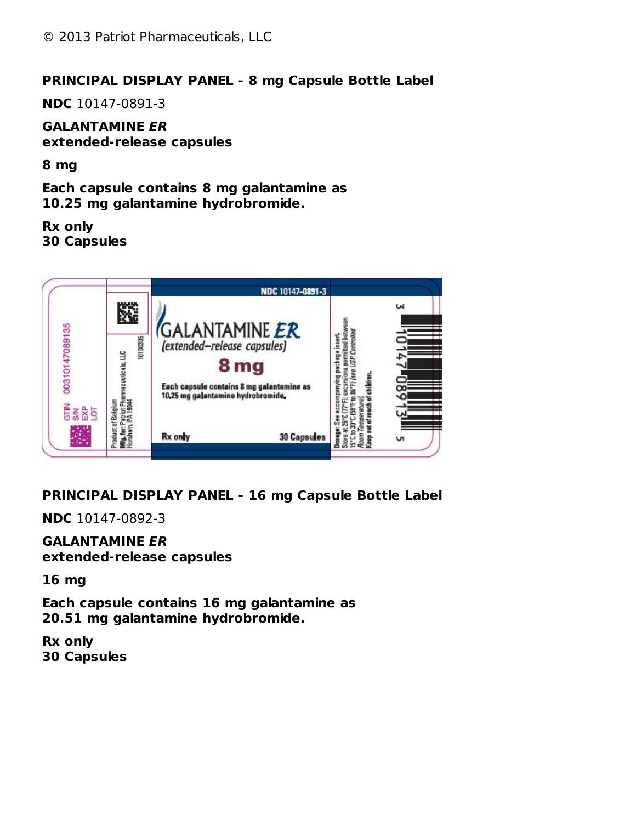#### **PRINCIPAL DISPLAY PANEL - 8 mg Capsule Bottle Label**

**NDC** 10147-0891-3

**GALANTAMINE ER extended-release capsules**

**8 mg**

**Each capsule contains 8 mg galantamine as 10.25 mg galantamine hydrobromide.**

**Rx only 30 Capsules**



**PRINCIPAL DISPLAY PANEL - 16 mg Capsule Bottle Label**

**NDC** 10147-0892-3

**GALANTAMINE ER extended-release capsules**

**16 mg**

**Each capsule contains 16 mg galantamine as 20.51 mg galantamine hydrobromide.**

**Rx only 30 Capsules**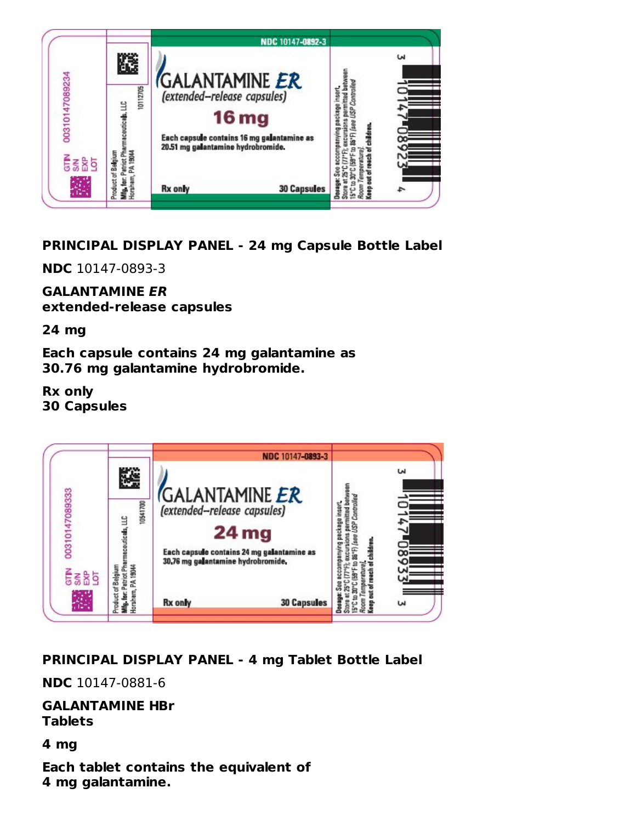

# **PRINCIPAL DISPLAY PANEL - 24 mg Capsule Bottle Label**

**NDC** 10147-0893-3

# **GALANTAMINE ER**

**extended-release capsules**

**24 mg**

**Each capsule contains 24 mg galantamine as 30.76 mg galantamine hydrobromide.**

**Rx only 30 Capsules**



# **PRINCIPAL DISPLAY PANEL - 4 mg Tablet Bottle Label**

**NDC** 10147-0881-6

**GALANTAMINE HBr Tablets**

**4 mg**

**Each tablet contains the equivalent of 4 mg galantamine.**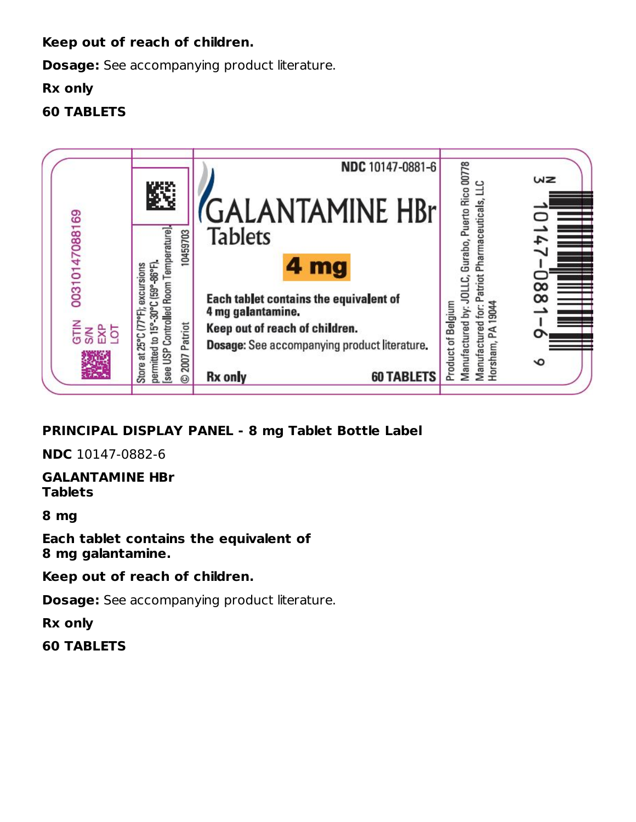#### **Keep out of reach of children.**

**Dosage:** See accompanying product literature.

#### **Rx only**

# **60 TABLETS**



# **PRINCIPAL DISPLAY PANEL - 8 mg Tablet Bottle Label**

**NDC** 10147-0882-6

**GALANTAMINE HBr Tablets**

**8 mg**

**Each tablet contains the equivalent of 8 mg galantamine.**

**Keep out of reach of children.**

**Dosage:** See accompanying product literature.

**Rx only**

**60 TABLETS**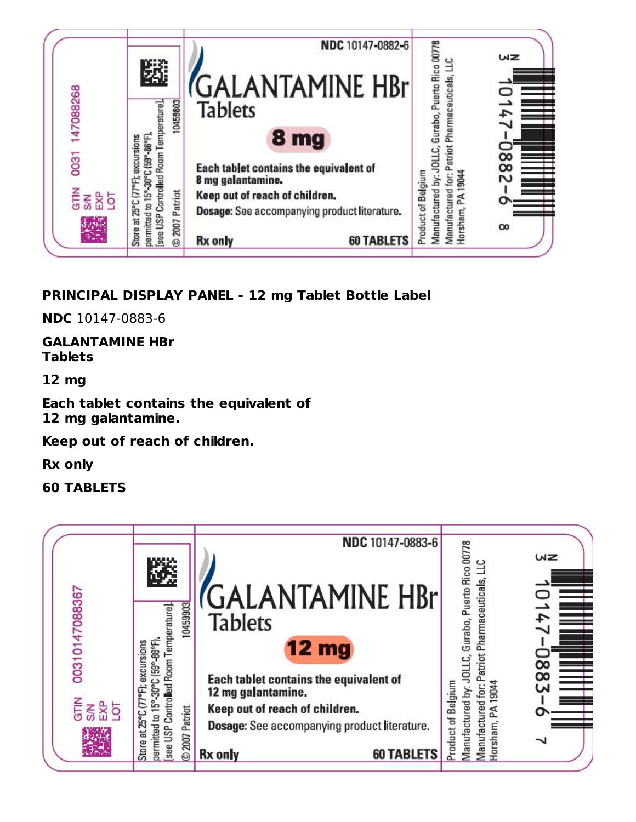

# **PRINCIPAL DISPLAY PANEL - 12 mg Tablet Bottle Label**

**NDC** 10147-0883-6

**GALANTAMINE HBr Tablets**

**12 mg**

**Each tablet contains the equivalent of 12 mg galantamine.**

**Keep out of reach of children.**

**Rx only**

**60 TABLETS**

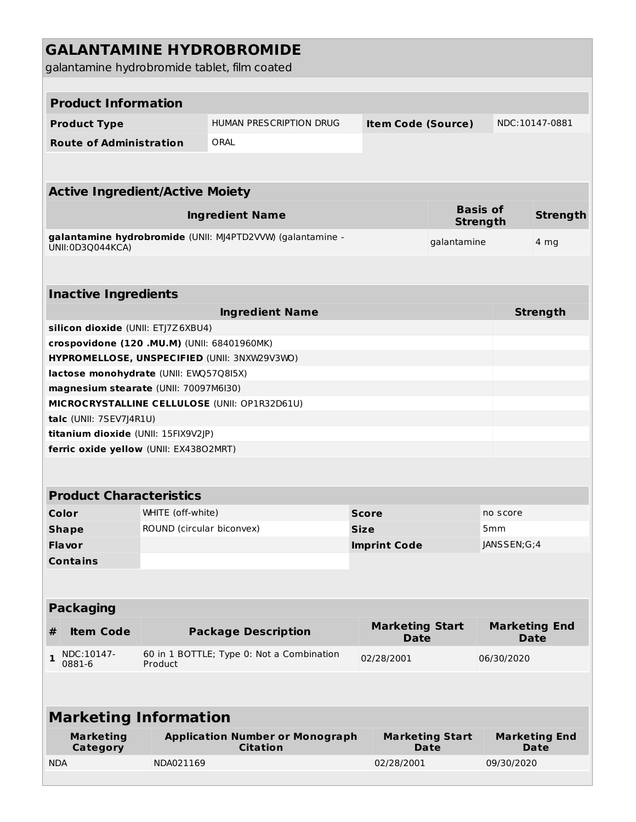|            |                                             |                           | <b>GALANTAMINE HYDROBROMIDE</b><br>galantamine hydrobromide tablet, film coated |              |                                       |                                |                                    |                                     |  |  |  |  |
|------------|---------------------------------------------|---------------------------|---------------------------------------------------------------------------------|--------------|---------------------------------------|--------------------------------|------------------------------------|-------------------------------------|--|--|--|--|
|            |                                             |                           |                                                                                 |              |                                       |                                |                                    |                                     |  |  |  |  |
|            | <b>Product Information</b>                  |                           |                                                                                 |              |                                       |                                |                                    |                                     |  |  |  |  |
|            | <b>Product Type</b>                         |                           | HUMAN PRESCRIPTION DRUG                                                         |              | <b>Item Code (Source)</b>             |                                |                                    | NDC:10147-0881                      |  |  |  |  |
|            | <b>Route of Administration</b>              |                           | ORAL                                                                            |              |                                       |                                |                                    |                                     |  |  |  |  |
|            |                                             |                           |                                                                                 |              |                                       |                                |                                    |                                     |  |  |  |  |
|            | <b>Active Ingredient/Active Moiety</b>      |                           |                                                                                 |              |                                       |                                |                                    |                                     |  |  |  |  |
|            |                                             |                           | <b>Ingredient Name</b>                                                          |              |                                       |                                | <b>Basis of</b><br><b>Strength</b> | <b>Strength</b>                     |  |  |  |  |
|            | UNII:0D3Q044KCA)                            |                           | galantamine hydrobromide (UNII: MJ4PTD2VVW) (galantamine -                      |              |                                       | galantamine                    |                                    | 4 <sub>mg</sub>                     |  |  |  |  |
|            |                                             |                           |                                                                                 |              |                                       |                                |                                    |                                     |  |  |  |  |
|            | <b>Inactive Ingredients</b>                 |                           |                                                                                 |              |                                       |                                |                                    |                                     |  |  |  |  |
|            |                                             |                           | <b>Ingredient Name</b>                                                          |              |                                       |                                |                                    | <b>Strength</b>                     |  |  |  |  |
|            | silicon dioxide (UNII: ETJ7Z6XBU4)          |                           |                                                                                 |              |                                       |                                |                                    |                                     |  |  |  |  |
|            | crospovidone (120 .MU.M) (UNII: 68401960MK) |                           |                                                                                 |              |                                       |                                |                                    |                                     |  |  |  |  |
|            |                                             |                           | HYPROMELLOSE, UNSPECIFIED (UNII: 3NXW29V3WO)                                    |              |                                       |                                |                                    |                                     |  |  |  |  |
|            | lactose monohydrate (UNII: EWQ57Q8I5X)      |                           |                                                                                 |              |                                       |                                |                                    |                                     |  |  |  |  |
|            | magnesium stearate (UNII: 70097M6I30)       |                           |                                                                                 |              |                                       |                                |                                    |                                     |  |  |  |  |
|            | talc (UNII: 7SEV7J4R1U)                     |                           | MICROCRYSTALLINE CELLULOSE (UNII: OP1R32D61U)                                   |              |                                       |                                |                                    |                                     |  |  |  |  |
|            | titanium dioxide (UNII: 15FIX9V2JP)         |                           |                                                                                 |              |                                       |                                |                                    |                                     |  |  |  |  |
|            | ferric oxide yellow (UNII: EX43802MRT)      |                           |                                                                                 |              |                                       |                                |                                    |                                     |  |  |  |  |
|            |                                             |                           |                                                                                 |              |                                       |                                |                                    |                                     |  |  |  |  |
|            |                                             |                           |                                                                                 |              |                                       |                                |                                    |                                     |  |  |  |  |
|            | <b>Product Characteristics</b>              |                           |                                                                                 |              |                                       |                                |                                    |                                     |  |  |  |  |
|            | Color                                       | WHITE (off-white)         |                                                                                 | <b>Score</b> |                                       |                                | no score                           |                                     |  |  |  |  |
|            | <b>Shape</b>                                | ROUND (circular biconvex) |                                                                                 | <b>Size</b>  |                                       |                                | 5mm                                |                                     |  |  |  |  |
|            | <b>Flavor</b>                               |                           |                                                                                 |              | <b>Imprint Code</b>                   |                                | JANSSEN;G;4                        |                                     |  |  |  |  |
|            | <b>Contains</b>                             |                           |                                                                                 |              |                                       |                                |                                    |                                     |  |  |  |  |
|            |                                             |                           |                                                                                 |              |                                       |                                |                                    |                                     |  |  |  |  |
|            | <b>Packaging</b>                            |                           |                                                                                 |              |                                       |                                |                                    |                                     |  |  |  |  |
| #          | <b>Item Code</b>                            |                           | <b>Package Description</b>                                                      |              | <b>Marketing Start</b><br><b>Date</b> |                                |                                    | <b>Marketing End</b><br><b>Date</b> |  |  |  |  |
| 1          | NDC:10147-<br>0881-6                        | Product                   | 60 in 1 BOTTLE; Type 0: Not a Combination                                       |              | 02/28/2001                            |                                | 06/30/2020                         |                                     |  |  |  |  |
|            |                                             |                           |                                                                                 |              |                                       |                                |                                    |                                     |  |  |  |  |
|            | <b>Marketing Information</b>                |                           |                                                                                 |              |                                       |                                |                                    |                                     |  |  |  |  |
|            | <b>Marketing</b><br><b>Category</b>         |                           | <b>Application Number or Monograph</b><br><b>Citation</b>                       |              |                                       | <b>Marketing Start</b><br>Date |                                    | <b>Marketing End</b><br>Date        |  |  |  |  |
| <b>NDA</b> |                                             | NDA021169                 |                                                                                 |              | 02/28/2001                            |                                | 09/30/2020                         |                                     |  |  |  |  |
|            |                                             |                           |                                                                                 |              |                                       |                                |                                    |                                     |  |  |  |  |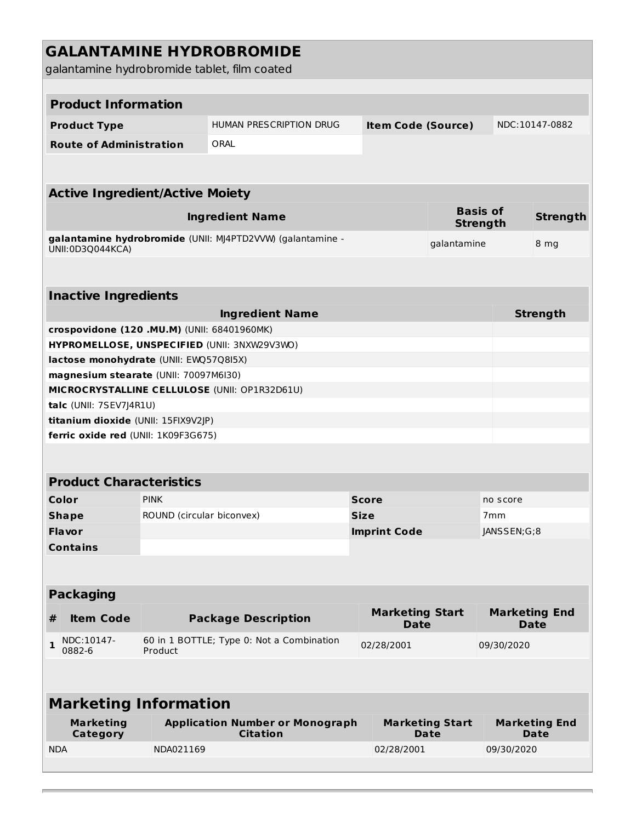| <b>GALANTAMINE HYDROBROMIDE</b><br>galantamine hydrobromide tablet, film coated |                           |                                                            |              |                     |                                       |                                    |                                     |  |  |  |  |  |
|---------------------------------------------------------------------------------|---------------------------|------------------------------------------------------------|--------------|---------------------|---------------------------------------|------------------------------------|-------------------------------------|--|--|--|--|--|
|                                                                                 |                           |                                                            |              |                     |                                       |                                    |                                     |  |  |  |  |  |
| <b>Product Information</b>                                                      |                           |                                                            |              |                     |                                       |                                    |                                     |  |  |  |  |  |
| <b>Product Type</b>                                                             |                           | <b>HUMAN PRESCRIPTION DRUG</b>                             |              |                     | <b>Item Code (Source)</b>             |                                    | NDC:10147-0882                      |  |  |  |  |  |
| <b>Route of Administration</b>                                                  |                           | ORAL                                                       |              |                     |                                       |                                    |                                     |  |  |  |  |  |
|                                                                                 |                           |                                                            |              |                     |                                       |                                    |                                     |  |  |  |  |  |
| <b>Active Ingredient/Active Moiety</b>                                          |                           |                                                            |              |                     |                                       |                                    |                                     |  |  |  |  |  |
|                                                                                 |                           | <b>Ingredient Name</b>                                     |              |                     |                                       | <b>Basis of</b><br><b>Strength</b> | <b>Strength</b>                     |  |  |  |  |  |
| UNII:0D3Q044KCA)                                                                |                           | galantamine hydrobromide (UNII: MJ4PTD2VVW) (galantamine - |              |                     | galantamine                           |                                    | 8 mg                                |  |  |  |  |  |
|                                                                                 |                           |                                                            |              |                     |                                       |                                    |                                     |  |  |  |  |  |
| <b>Inactive Ingredients</b>                                                     |                           |                                                            |              |                     |                                       |                                    |                                     |  |  |  |  |  |
|                                                                                 |                           | <b>Ingredient Name</b>                                     |              |                     |                                       |                                    | <b>Strength</b>                     |  |  |  |  |  |
| crospovidone (120 .MU.M) (UNII: 68401960MK)                                     |                           |                                                            |              |                     |                                       |                                    |                                     |  |  |  |  |  |
| HYPROMELLOSE, UNSPECIFIED (UNII: 3NXW29V3WO)                                    |                           |                                                            |              |                     |                                       |                                    |                                     |  |  |  |  |  |
| lactose monohydrate (UNII: EWQ57Q8I5X)                                          |                           |                                                            |              |                     |                                       |                                    |                                     |  |  |  |  |  |
| magnesium stearate (UNII: 70097M6I30)                                           |                           |                                                            |              |                     |                                       |                                    |                                     |  |  |  |  |  |
| talc (UNII: 7SEV7J4R1U)                                                         |                           | MICROCRYSTALLINE CELLULOSE (UNII: OP1R32D61U)              |              |                     |                                       |                                    |                                     |  |  |  |  |  |
| titanium dioxide (UNII: 15FIX9V2JP)                                             |                           |                                                            |              |                     |                                       |                                    |                                     |  |  |  |  |  |
| ferric oxide red (UNII: 1K09F3G675)                                             |                           |                                                            |              |                     |                                       |                                    |                                     |  |  |  |  |  |
|                                                                                 |                           |                                                            |              |                     |                                       |                                    |                                     |  |  |  |  |  |
| <b>Product Characteristics</b>                                                  |                           |                                                            |              |                     |                                       |                                    |                                     |  |  |  |  |  |
| Color                                                                           | <b>PINK</b>               |                                                            | <b>Score</b> |                     |                                       | no score                           |                                     |  |  |  |  |  |
| <b>Shape</b>                                                                    | ROUND (circular biconvex) |                                                            | <b>Size</b>  |                     |                                       | 7 <sub>mm</sub>                    |                                     |  |  |  |  |  |
| Flavor                                                                          |                           |                                                            |              | <b>Imprint Code</b> |                                       | JANSSEN;G;8                        |                                     |  |  |  |  |  |
| <b>Contains</b>                                                                 |                           |                                                            |              |                     |                                       |                                    |                                     |  |  |  |  |  |
| <b>Packaging</b>                                                                |                           |                                                            |              |                     |                                       |                                    |                                     |  |  |  |  |  |
| <b>Item Code</b><br>#                                                           |                           | <b>Package Description</b>                                 |              | <b>Date</b>         | <b>Marketing Start</b>                |                                    | <b>Marketing End</b><br><b>Date</b> |  |  |  |  |  |
| NDC:10147-<br>$\mathbf{1}$<br>0882-6                                            | Product                   | 60 in 1 BOTTLE; Type 0: Not a Combination                  |              | 02/28/2001          |                                       | 09/30/2020                         |                                     |  |  |  |  |  |
|                                                                                 |                           |                                                            |              |                     |                                       |                                    |                                     |  |  |  |  |  |
| <b>Marketing Information</b>                                                    |                           |                                                            |              |                     |                                       |                                    |                                     |  |  |  |  |  |
| <b>Marketing</b><br>Category                                                    |                           | <b>Application Number or Monograph</b><br><b>Citation</b>  |              |                     | <b>Marketing Start</b><br><b>Date</b> |                                    | <b>Marketing End</b><br><b>Date</b> |  |  |  |  |  |
| <b>NDA</b>                                                                      | NDA021169                 |                                                            |              | 02/28/2001          |                                       | 09/30/2020                         |                                     |  |  |  |  |  |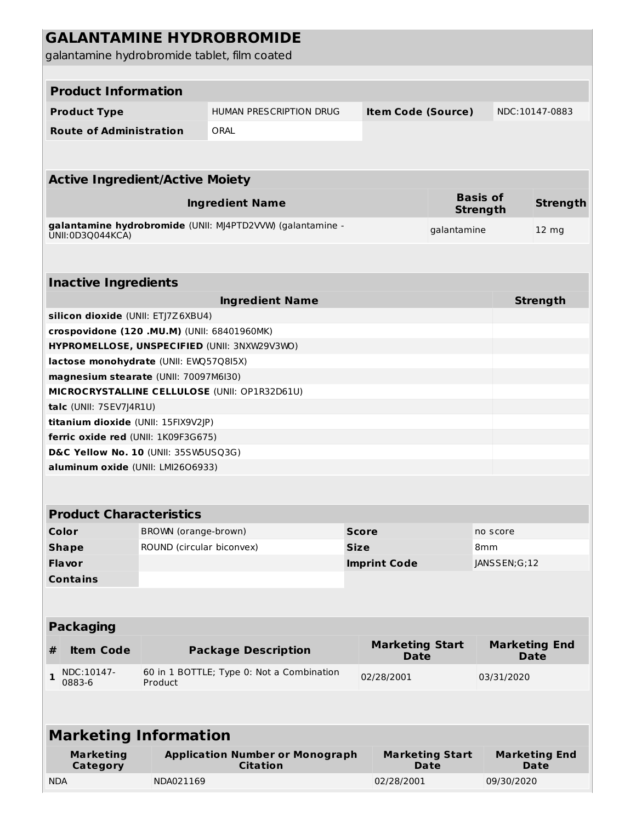|                                              |                           | <b>GALANTAMINE HYDROBROMIDE</b>                            |             |                           |                                |                                    |                              |                 |  |  |  |  |
|----------------------------------------------|---------------------------|------------------------------------------------------------|-------------|---------------------------|--------------------------------|------------------------------------|------------------------------|-----------------|--|--|--|--|
| galantamine hydrobromide tablet, film coated |                           |                                                            |             |                           |                                |                                    |                              |                 |  |  |  |  |
|                                              |                           |                                                            |             |                           |                                |                                    |                              |                 |  |  |  |  |
| <b>Product Information</b>                   |                           |                                                            |             |                           |                                |                                    |                              |                 |  |  |  |  |
|                                              |                           |                                                            |             |                           |                                |                                    |                              |                 |  |  |  |  |
| <b>Product Type</b>                          |                           | HUMAN PRESCRIPTION DRUG                                    |             | <b>Item Code (Source)</b> |                                |                                    | NDC:10147-0883               |                 |  |  |  |  |
| <b>Route of Administration</b>               |                           | ORAL                                                       |             |                           |                                |                                    |                              |                 |  |  |  |  |
|                                              |                           |                                                            |             |                           |                                |                                    |                              |                 |  |  |  |  |
| <b>Active Ingredient/Active Moiety</b>       |                           |                                                            |             |                           |                                |                                    |                              |                 |  |  |  |  |
|                                              |                           | <b>Ingredient Name</b>                                     |             |                           |                                | <b>Basis of</b><br><b>Strength</b> |                              | <b>Strength</b> |  |  |  |  |
| UNII:0D3Q044KCA)                             |                           | galantamine hydrobromide (UNII: MJ4PTD2VVW) (galantamine - |             |                           | galantamine                    |                                    | $12 \text{ mg}$              |                 |  |  |  |  |
|                                              |                           |                                                            |             |                           |                                |                                    |                              |                 |  |  |  |  |
| <b>Inactive Ingredients</b>                  |                           |                                                            |             |                           |                                |                                    |                              |                 |  |  |  |  |
|                                              |                           | <b>Ingredient Name</b>                                     |             |                           |                                |                                    | <b>Strength</b>              |                 |  |  |  |  |
| silicon dioxide (UNII: ETJ7Z6XBU4)           |                           |                                                            |             |                           |                                |                                    |                              |                 |  |  |  |  |
| crospovidone (120 .MU.M) (UNII: 68401960MK)  |                           | HYPROMELLOSE, UNSPECIFIED (UNII: 3NXW29V3WO)               |             |                           |                                |                                    |                              |                 |  |  |  |  |
| lactose monohydrate (UNII: EWQ57Q8I5X)       |                           |                                                            |             |                           |                                |                                    |                              |                 |  |  |  |  |
| magnesium stearate (UNII: 70097M6I30)        |                           |                                                            |             |                           |                                |                                    |                              |                 |  |  |  |  |
|                                              |                           | MICROCRYSTALLINE CELLULOSE (UNII: OP1R32D61U)              |             |                           |                                |                                    |                              |                 |  |  |  |  |
| talc (UNII: 7SEV7J4R1U)                      |                           |                                                            |             |                           |                                |                                    |                              |                 |  |  |  |  |
| titanium dioxide (UNII: 15FIX9V2JP)          |                           |                                                            |             |                           |                                |                                    |                              |                 |  |  |  |  |
| ferric oxide red (UNII: 1K09F3G675)          |                           |                                                            |             |                           |                                |                                    |                              |                 |  |  |  |  |
| D&C Yellow No. 10 (UNII: 35SW5USQ3G)         |                           |                                                            |             |                           |                                |                                    |                              |                 |  |  |  |  |
| aluminum oxide (UNII: LMI2606933)            |                           |                                                            |             |                           |                                |                                    |                              |                 |  |  |  |  |
|                                              |                           |                                                            |             |                           |                                |                                    |                              |                 |  |  |  |  |
| <b>Product Characteristics</b>               |                           |                                                            |             |                           |                                |                                    |                              |                 |  |  |  |  |
| Color                                        | BROWN (orange-brown)      |                                                            |             | <b>Score</b>              |                                | no score                           |                              |                 |  |  |  |  |
| <b>Shape</b>                                 | ROUND (circular biconvex) |                                                            | <b>Size</b> |                           |                                | 8 <sub>mm</sub>                    |                              |                 |  |  |  |  |
| Flavor                                       |                           |                                                            |             | <b>Imprint Code</b>       |                                | JANSSEN;G;12                       |                              |                 |  |  |  |  |
| <b>Contains</b>                              |                           |                                                            |             |                           |                                |                                    |                              |                 |  |  |  |  |
|                                              |                           |                                                            |             |                           |                                |                                    |                              |                 |  |  |  |  |
| <b>Packaging</b>                             |                           |                                                            |             |                           |                                |                                    |                              |                 |  |  |  |  |
|                                              |                           |                                                            |             | <b>Marketing Start</b>    |                                |                                    | <b>Marketing End</b>         |                 |  |  |  |  |
| <b>Item Code</b><br>#                        |                           | <b>Package Description</b>                                 |             | <b>Date</b>               |                                |                                    | <b>Date</b>                  |                 |  |  |  |  |
| NDC:10147-<br>1<br>0883-6                    | Product                   | 60 in 1 BOTTLE; Type 0: Not a Combination                  |             | 02/28/2001                |                                | 03/31/2020                         |                              |                 |  |  |  |  |
|                                              |                           |                                                            |             |                           |                                |                                    |                              |                 |  |  |  |  |
| <b>Marketing Information</b>                 |                           |                                                            |             |                           |                                |                                    |                              |                 |  |  |  |  |
| <b>Marketing</b><br>Category                 |                           | <b>Application Number or Monograph</b><br><b>Citation</b>  |             |                           | <b>Marketing Start</b><br>Date |                                    | <b>Marketing End</b><br>Date |                 |  |  |  |  |
| <b>NDA</b>                                   | NDA021169                 |                                                            |             | 02/28/2001                |                                |                                    | 09/30/2020                   |                 |  |  |  |  |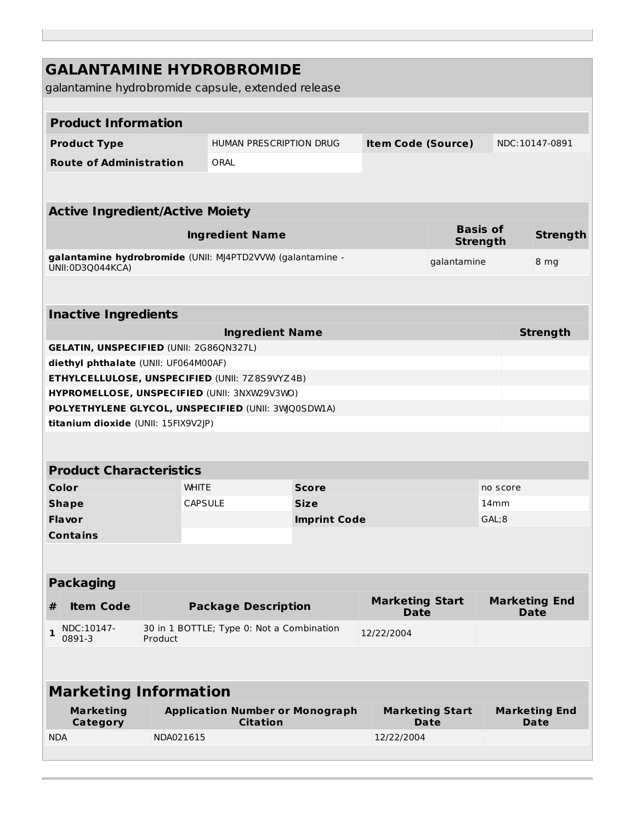| <b>GALANTAMINE HYDROBROMIDE</b><br>galantamine hydrobromide capsule, extended release<br><b>Product Information</b><br><b>HUMAN PRESCRIPTION DRUG</b><br><b>Item Code (Source)</b><br>NDC:10147-0891<br><b>Product Type</b><br>ORAL<br><b>Route of Administration</b><br><b>Active Ingredient/Active Moiety</b><br><b>Basis of</b><br><b>Ingredient Name</b><br><b>Strength</b><br><b>Strength</b><br>galantamine hydrobromide (UNII: MJ4PTD2VVW) (galantamine -<br>galantamine<br>8 mg<br>UNII:0D3Q044KCA)<br><b>Inactive Ingredients</b><br><b>Ingredient Name</b><br><b>Strength</b><br><b>GELATIN, UNSPECIFIED (UNII: 2G86QN327L)</b><br>diethyl phthalate (UNII: UF064M00AF)<br>ETHYLCELLULOSE, UNSPECIFIED (UNII: 7Z8S9VYZ4B)<br>HYPROMELLOSE, UNSPECIFIED (UNII: 3NXW29V3WO)<br>POLYETHYLENE GLYCOL, UNSPECIFIED (UNII: 3WQ0SDWIA)<br>titanium dioxide (UNII: 15FIX9V2JP)<br><b>Product Characteristics</b><br>Color<br><b>WHITE</b><br><b>Score</b><br>no score<br><b>CAPSULE</b><br><b>Size</b><br>14 <sub>mm</sub><br><b>Shape</b><br>GAL;8<br><b>Flavor</b><br><b>Imprint Code</b><br><b>Contains</b><br><b>Packaging</b><br><b>Marketing Start</b><br><b>Marketing End</b><br><b>Item Code</b><br>#<br><b>Package Description</b><br><b>Date</b><br><b>Date</b><br>NDC:10147-<br>30 in 1 BOTTLE; Type 0: Not a Combination<br>$\mathbf{1}$<br>12/22/2004<br>0891-3<br>Product<br><b>Marketing Information</b><br><b>Application Number or Monograph</b><br><b>Marketing</b><br><b>Marketing Start</b><br><b>Marketing End</b><br><b>Citation</b><br>Category<br>Date<br>Date<br>NDA021615<br><b>NDA</b><br>12/22/2004 |  |  |  |  |  |
|-----------------------------------------------------------------------------------------------------------------------------------------------------------------------------------------------------------------------------------------------------------------------------------------------------------------------------------------------------------------------------------------------------------------------------------------------------------------------------------------------------------------------------------------------------------------------------------------------------------------------------------------------------------------------------------------------------------------------------------------------------------------------------------------------------------------------------------------------------------------------------------------------------------------------------------------------------------------------------------------------------------------------------------------------------------------------------------------------------------------------------------------------------------------------------------------------------------------------------------------------------------------------------------------------------------------------------------------------------------------------------------------------------------------------------------------------------------------------------------------------------------------------------------------------------------------------------------------------------------------------------------|--|--|--|--|--|
|                                                                                                                                                                                                                                                                                                                                                                                                                                                                                                                                                                                                                                                                                                                                                                                                                                                                                                                                                                                                                                                                                                                                                                                                                                                                                                                                                                                                                                                                                                                                                                                                                                   |  |  |  |  |  |
|                                                                                                                                                                                                                                                                                                                                                                                                                                                                                                                                                                                                                                                                                                                                                                                                                                                                                                                                                                                                                                                                                                                                                                                                                                                                                                                                                                                                                                                                                                                                                                                                                                   |  |  |  |  |  |
|                                                                                                                                                                                                                                                                                                                                                                                                                                                                                                                                                                                                                                                                                                                                                                                                                                                                                                                                                                                                                                                                                                                                                                                                                                                                                                                                                                                                                                                                                                                                                                                                                                   |  |  |  |  |  |
|                                                                                                                                                                                                                                                                                                                                                                                                                                                                                                                                                                                                                                                                                                                                                                                                                                                                                                                                                                                                                                                                                                                                                                                                                                                                                                                                                                                                                                                                                                                                                                                                                                   |  |  |  |  |  |
|                                                                                                                                                                                                                                                                                                                                                                                                                                                                                                                                                                                                                                                                                                                                                                                                                                                                                                                                                                                                                                                                                                                                                                                                                                                                                                                                                                                                                                                                                                                                                                                                                                   |  |  |  |  |  |
|                                                                                                                                                                                                                                                                                                                                                                                                                                                                                                                                                                                                                                                                                                                                                                                                                                                                                                                                                                                                                                                                                                                                                                                                                                                                                                                                                                                                                                                                                                                                                                                                                                   |  |  |  |  |  |
|                                                                                                                                                                                                                                                                                                                                                                                                                                                                                                                                                                                                                                                                                                                                                                                                                                                                                                                                                                                                                                                                                                                                                                                                                                                                                                                                                                                                                                                                                                                                                                                                                                   |  |  |  |  |  |
|                                                                                                                                                                                                                                                                                                                                                                                                                                                                                                                                                                                                                                                                                                                                                                                                                                                                                                                                                                                                                                                                                                                                                                                                                                                                                                                                                                                                                                                                                                                                                                                                                                   |  |  |  |  |  |
|                                                                                                                                                                                                                                                                                                                                                                                                                                                                                                                                                                                                                                                                                                                                                                                                                                                                                                                                                                                                                                                                                                                                                                                                                                                                                                                                                                                                                                                                                                                                                                                                                                   |  |  |  |  |  |
|                                                                                                                                                                                                                                                                                                                                                                                                                                                                                                                                                                                                                                                                                                                                                                                                                                                                                                                                                                                                                                                                                                                                                                                                                                                                                                                                                                                                                                                                                                                                                                                                                                   |  |  |  |  |  |
|                                                                                                                                                                                                                                                                                                                                                                                                                                                                                                                                                                                                                                                                                                                                                                                                                                                                                                                                                                                                                                                                                                                                                                                                                                                                                                                                                                                                                                                                                                                                                                                                                                   |  |  |  |  |  |
|                                                                                                                                                                                                                                                                                                                                                                                                                                                                                                                                                                                                                                                                                                                                                                                                                                                                                                                                                                                                                                                                                                                                                                                                                                                                                                                                                                                                                                                                                                                                                                                                                                   |  |  |  |  |  |
|                                                                                                                                                                                                                                                                                                                                                                                                                                                                                                                                                                                                                                                                                                                                                                                                                                                                                                                                                                                                                                                                                                                                                                                                                                                                                                                                                                                                                                                                                                                                                                                                                                   |  |  |  |  |  |
|                                                                                                                                                                                                                                                                                                                                                                                                                                                                                                                                                                                                                                                                                                                                                                                                                                                                                                                                                                                                                                                                                                                                                                                                                                                                                                                                                                                                                                                                                                                                                                                                                                   |  |  |  |  |  |
|                                                                                                                                                                                                                                                                                                                                                                                                                                                                                                                                                                                                                                                                                                                                                                                                                                                                                                                                                                                                                                                                                                                                                                                                                                                                                                                                                                                                                                                                                                                                                                                                                                   |  |  |  |  |  |
|                                                                                                                                                                                                                                                                                                                                                                                                                                                                                                                                                                                                                                                                                                                                                                                                                                                                                                                                                                                                                                                                                                                                                                                                                                                                                                                                                                                                                                                                                                                                                                                                                                   |  |  |  |  |  |
|                                                                                                                                                                                                                                                                                                                                                                                                                                                                                                                                                                                                                                                                                                                                                                                                                                                                                                                                                                                                                                                                                                                                                                                                                                                                                                                                                                                                                                                                                                                                                                                                                                   |  |  |  |  |  |
|                                                                                                                                                                                                                                                                                                                                                                                                                                                                                                                                                                                                                                                                                                                                                                                                                                                                                                                                                                                                                                                                                                                                                                                                                                                                                                                                                                                                                                                                                                                                                                                                                                   |  |  |  |  |  |
|                                                                                                                                                                                                                                                                                                                                                                                                                                                                                                                                                                                                                                                                                                                                                                                                                                                                                                                                                                                                                                                                                                                                                                                                                                                                                                                                                                                                                                                                                                                                                                                                                                   |  |  |  |  |  |
|                                                                                                                                                                                                                                                                                                                                                                                                                                                                                                                                                                                                                                                                                                                                                                                                                                                                                                                                                                                                                                                                                                                                                                                                                                                                                                                                                                                                                                                                                                                                                                                                                                   |  |  |  |  |  |
|                                                                                                                                                                                                                                                                                                                                                                                                                                                                                                                                                                                                                                                                                                                                                                                                                                                                                                                                                                                                                                                                                                                                                                                                                                                                                                                                                                                                                                                                                                                                                                                                                                   |  |  |  |  |  |
|                                                                                                                                                                                                                                                                                                                                                                                                                                                                                                                                                                                                                                                                                                                                                                                                                                                                                                                                                                                                                                                                                                                                                                                                                                                                                                                                                                                                                                                                                                                                                                                                                                   |  |  |  |  |  |
|                                                                                                                                                                                                                                                                                                                                                                                                                                                                                                                                                                                                                                                                                                                                                                                                                                                                                                                                                                                                                                                                                                                                                                                                                                                                                                                                                                                                                                                                                                                                                                                                                                   |  |  |  |  |  |
|                                                                                                                                                                                                                                                                                                                                                                                                                                                                                                                                                                                                                                                                                                                                                                                                                                                                                                                                                                                                                                                                                                                                                                                                                                                                                                                                                                                                                                                                                                                                                                                                                                   |  |  |  |  |  |
|                                                                                                                                                                                                                                                                                                                                                                                                                                                                                                                                                                                                                                                                                                                                                                                                                                                                                                                                                                                                                                                                                                                                                                                                                                                                                                                                                                                                                                                                                                                                                                                                                                   |  |  |  |  |  |
|                                                                                                                                                                                                                                                                                                                                                                                                                                                                                                                                                                                                                                                                                                                                                                                                                                                                                                                                                                                                                                                                                                                                                                                                                                                                                                                                                                                                                                                                                                                                                                                                                                   |  |  |  |  |  |
|                                                                                                                                                                                                                                                                                                                                                                                                                                                                                                                                                                                                                                                                                                                                                                                                                                                                                                                                                                                                                                                                                                                                                                                                                                                                                                                                                                                                                                                                                                                                                                                                                                   |  |  |  |  |  |
|                                                                                                                                                                                                                                                                                                                                                                                                                                                                                                                                                                                                                                                                                                                                                                                                                                                                                                                                                                                                                                                                                                                                                                                                                                                                                                                                                                                                                                                                                                                                                                                                                                   |  |  |  |  |  |
|                                                                                                                                                                                                                                                                                                                                                                                                                                                                                                                                                                                                                                                                                                                                                                                                                                                                                                                                                                                                                                                                                                                                                                                                                                                                                                                                                                                                                                                                                                                                                                                                                                   |  |  |  |  |  |
|                                                                                                                                                                                                                                                                                                                                                                                                                                                                                                                                                                                                                                                                                                                                                                                                                                                                                                                                                                                                                                                                                                                                                                                                                                                                                                                                                                                                                                                                                                                                                                                                                                   |  |  |  |  |  |
|                                                                                                                                                                                                                                                                                                                                                                                                                                                                                                                                                                                                                                                                                                                                                                                                                                                                                                                                                                                                                                                                                                                                                                                                                                                                                                                                                                                                                                                                                                                                                                                                                                   |  |  |  |  |  |
|                                                                                                                                                                                                                                                                                                                                                                                                                                                                                                                                                                                                                                                                                                                                                                                                                                                                                                                                                                                                                                                                                                                                                                                                                                                                                                                                                                                                                                                                                                                                                                                                                                   |  |  |  |  |  |
|                                                                                                                                                                                                                                                                                                                                                                                                                                                                                                                                                                                                                                                                                                                                                                                                                                                                                                                                                                                                                                                                                                                                                                                                                                                                                                                                                                                                                                                                                                                                                                                                                                   |  |  |  |  |  |
|                                                                                                                                                                                                                                                                                                                                                                                                                                                                                                                                                                                                                                                                                                                                                                                                                                                                                                                                                                                                                                                                                                                                                                                                                                                                                                                                                                                                                                                                                                                                                                                                                                   |  |  |  |  |  |
|                                                                                                                                                                                                                                                                                                                                                                                                                                                                                                                                                                                                                                                                                                                                                                                                                                                                                                                                                                                                                                                                                                                                                                                                                                                                                                                                                                                                                                                                                                                                                                                                                                   |  |  |  |  |  |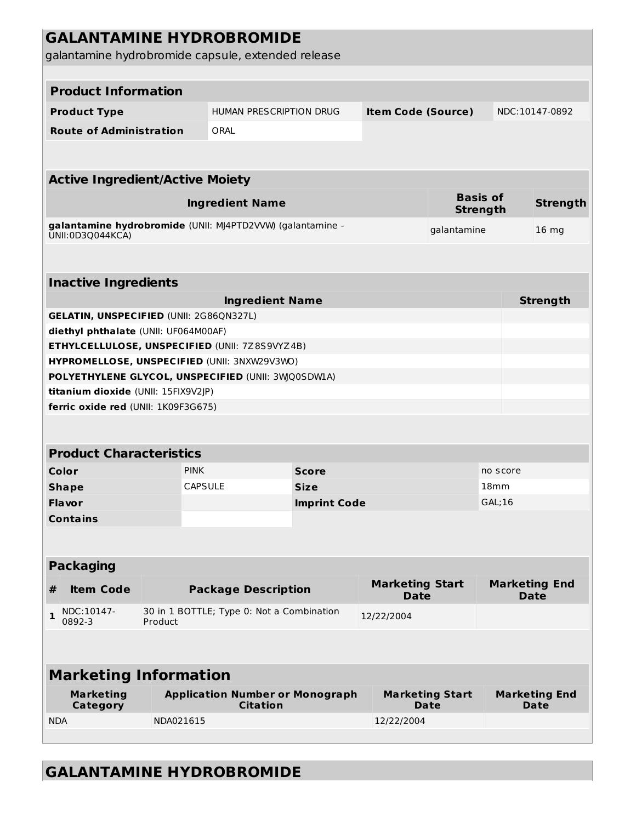|                              |                                                |           | <b>GALANTAMINE HYDROBROMIDE</b>                            |                     |                                       |                                       |          |                                     |  |  |  |  |  |
|------------------------------|------------------------------------------------|-----------|------------------------------------------------------------|---------------------|---------------------------------------|---------------------------------------|----------|-------------------------------------|--|--|--|--|--|
|                              |                                                |           | galantamine hydrobromide capsule, extended release         |                     |                                       |                                       |          |                                     |  |  |  |  |  |
|                              |                                                |           |                                                            |                     |                                       |                                       |          |                                     |  |  |  |  |  |
|                              | <b>Product Information</b>                     |           |                                                            |                     |                                       |                                       |          |                                     |  |  |  |  |  |
|                              | <b>Product Type</b>                            |           | HUMAN PRESCRIPTION DRUG                                    |                     | <b>Item Code (Source)</b>             |                                       |          | NDC:10147-0892                      |  |  |  |  |  |
|                              | <b>Route of Administration</b>                 |           | ORAL                                                       |                     |                                       |                                       |          |                                     |  |  |  |  |  |
|                              |                                                |           |                                                            |                     |                                       |                                       |          |                                     |  |  |  |  |  |
|                              | <b>Active Ingredient/Active Moiety</b>         |           |                                                            |                     |                                       |                                       |          |                                     |  |  |  |  |  |
|                              |                                                |           | <b>Ingredient Name</b>                                     |                     |                                       | <b>Basis of</b>                       |          | <b>Strength</b>                     |  |  |  |  |  |
|                              |                                                |           | galantamine hydrobromide (UNII: MJ4PTD2VVW) (galantamine - |                     |                                       | <b>Strength</b>                       |          |                                     |  |  |  |  |  |
|                              | UNII:0D3Q044KCA)                               |           |                                                            |                     |                                       | galantamine                           |          | 16 <sub>mg</sub>                    |  |  |  |  |  |
|                              |                                                |           |                                                            |                     |                                       |                                       |          |                                     |  |  |  |  |  |
|                              | <b>Inactive Ingredients</b>                    |           |                                                            |                     |                                       |                                       |          |                                     |  |  |  |  |  |
|                              |                                                |           | <b>Ingredient Name</b>                                     |                     |                                       |                                       |          | <b>Strength</b>                     |  |  |  |  |  |
|                              | <b>GELATIN, UNSPECIFIED (UNII: 2G86QN327L)</b> |           |                                                            |                     |                                       |                                       |          |                                     |  |  |  |  |  |
|                              | diethyl phthalate (UNII: UF064M00AF)           |           |                                                            |                     |                                       |                                       |          |                                     |  |  |  |  |  |
|                              |                                                |           | ETHYLCELLULOSE, UNSPECIFIED (UNII: 7Z8S9VYZ4B)             |                     |                                       |                                       |          |                                     |  |  |  |  |  |
|                              |                                                |           | HYPROMELLOSE, UNSPECIFIED (UNII: 3NXW29V3WO)               |                     |                                       |                                       |          |                                     |  |  |  |  |  |
|                              | titanium dioxide (UNII: 15FIX9V2JP)            |           | POLYETHYLENE GLYCOL, UNSPECIFIED (UNII: 3WQ0SDWLA)         |                     |                                       |                                       |          |                                     |  |  |  |  |  |
|                              | ferric oxide red (UNII: 1K09F3G675)            |           |                                                            |                     |                                       |                                       |          |                                     |  |  |  |  |  |
|                              |                                                |           |                                                            |                     |                                       |                                       |          |                                     |  |  |  |  |  |
|                              |                                                |           |                                                            |                     |                                       |                                       |          |                                     |  |  |  |  |  |
|                              | <b>Product Characteristics</b>                 |           |                                                            |                     |                                       |                                       |          |                                     |  |  |  |  |  |
|                              | Color                                          |           | <b>PINK</b>                                                | <b>Score</b>        |                                       |                                       | no score |                                     |  |  |  |  |  |
|                              | <b>Shape</b>                                   |           | CAPSULE                                                    | <b>Size</b>         |                                       |                                       | 18mm     |                                     |  |  |  |  |  |
|                              | <b>Flavor</b>                                  |           |                                                            | <b>Imprint Code</b> |                                       |                                       | GAL; 16  |                                     |  |  |  |  |  |
|                              | <b>Contains</b>                                |           |                                                            |                     |                                       |                                       |          |                                     |  |  |  |  |  |
|                              |                                                |           |                                                            |                     |                                       |                                       |          |                                     |  |  |  |  |  |
|                              | <b>Packaging</b>                               |           |                                                            |                     |                                       |                                       |          |                                     |  |  |  |  |  |
| #                            | <b>Item Code</b>                               |           | <b>Package Description</b>                                 |                     | <b>Marketing Start</b><br><b>Date</b> |                                       |          | <b>Marketing End</b><br><b>Date</b> |  |  |  |  |  |
| $\mathbf{1}$                 | NDC:10147-<br>0892-3                           | Product   | 30 in 1 BOTTLE; Type 0: Not a Combination                  |                     | 12/22/2004                            |                                       |          |                                     |  |  |  |  |  |
|                              |                                                |           |                                                            |                     |                                       |                                       |          |                                     |  |  |  |  |  |
| <b>Marketing Information</b> |                                                |           |                                                            |                     |                                       |                                       |          |                                     |  |  |  |  |  |
|                              | <b>Marketing</b><br>Category                   |           | <b>Application Number or Monograph</b><br><b>Citation</b>  |                     |                                       | <b>Marketing Start</b><br><b>Date</b> |          | <b>Marketing End</b><br>Date        |  |  |  |  |  |
| <b>NDA</b>                   |                                                | NDA021615 |                                                            |                     | 12/22/2004                            |                                       |          |                                     |  |  |  |  |  |
|                              |                                                |           |                                                            |                     |                                       |                                       |          |                                     |  |  |  |  |  |

# **GALANTAMINE HYDROBROMIDE**

L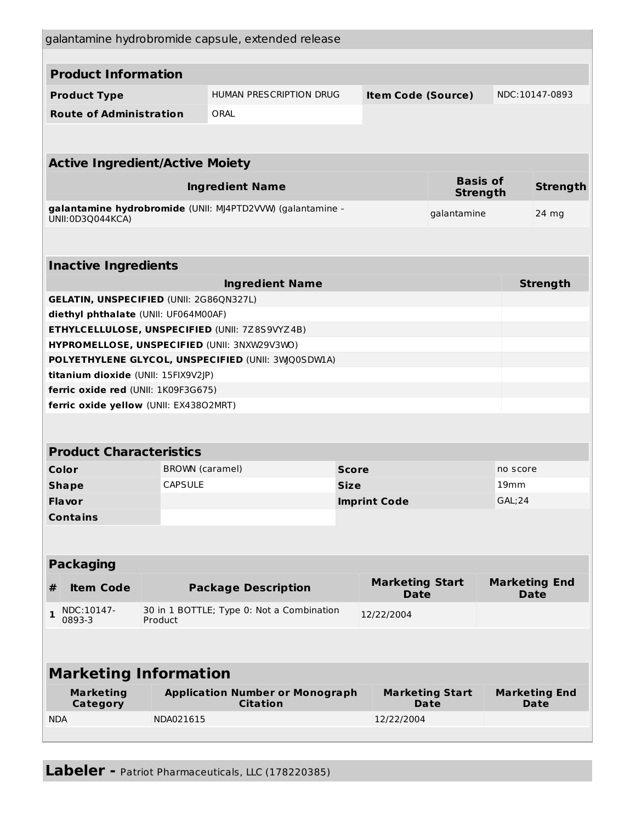|                                                              |                                                                               |                                                      | galantamine hydrobromide capsule, extended release         |             |                                       |          |                                     |                 |
|--------------------------------------------------------------|-------------------------------------------------------------------------------|------------------------------------------------------|------------------------------------------------------------|-------------|---------------------------------------|----------|-------------------------------------|-----------------|
|                                                              |                                                                               |                                                      |                                                            |             |                                       |          |                                     |                 |
| <b>Product Information</b>                                   |                                                                               |                                                      |                                                            |             |                                       |          |                                     |                 |
| <b>Product Type</b>                                          |                                                                               |                                                      | HUMAN PRESCRIPTION DRUG                                    |             | <b>Item Code (Source)</b>             |          |                                     | NDC:10147-0893  |
| <b>Route of Administration</b>                               |                                                                               |                                                      | ORAL                                                       |             |                                       |          |                                     |                 |
|                                                              |                                                                               |                                                      |                                                            |             |                                       |          |                                     |                 |
| <b>Active Ingredient/Active Moiety</b>                       |                                                                               |                                                      |                                                            |             |                                       |          |                                     |                 |
| <b>Basis of</b><br><b>Ingredient Name</b><br><b>Strength</b> |                                                                               |                                                      |                                                            |             |                                       |          | <b>Strength</b>                     |                 |
|                                                              | UNII:0D3Q044KCA)                                                              |                                                      | galantamine hydrobromide (UNII: MJ4PTD2VVW) (galantamine - | galantamine |                                       |          |                                     | 24 mg           |
|                                                              |                                                                               |                                                      |                                                            |             |                                       |          |                                     |                 |
| <b>Inactive Ingredients</b>                                  |                                                                               |                                                      |                                                            |             |                                       |          |                                     |                 |
|                                                              |                                                                               |                                                      | <b>Ingredient Name</b>                                     |             |                                       |          |                                     | <b>Strength</b> |
|                                                              | <b>GELATIN, UNSPECIFIED (UNII: 2G86QN327L)</b>                                |                                                      |                                                            |             |                                       |          |                                     |                 |
|                                                              | diethyl phthalate (UNII: UF064M00AF)                                          |                                                      |                                                            |             |                                       |          |                                     |                 |
|                                                              |                                                                               |                                                      | ETHYLCELLULOSE, UNSPECIFIED (UNII: 7Z8S9VYZ4B)             |             |                                       |          |                                     |                 |
|                                                              |                                                                               |                                                      | HYPROMELLOSE, UNSPECIFIED (UNII: 3NXW29V3WO)               |             |                                       |          |                                     |                 |
|                                                              |                                                                               |                                                      | POLYETHYLENE GLYCOL, UNSPECIFIED (UNII: 3WQ0SDWIA)         |             |                                       |          |                                     |                 |
|                                                              | titanium dioxide (UNII: 15FIX9V2JP)                                           |                                                      |                                                            |             |                                       |          |                                     |                 |
|                                                              | ferric oxide red (UNII: 1K09F3G675)<br>ferric oxide yellow (UNII: EX43802MRT) |                                                      |                                                            |             |                                       |          |                                     |                 |
|                                                              |                                                                               |                                                      |                                                            |             |                                       |          |                                     |                 |
|                                                              |                                                                               |                                                      |                                                            |             |                                       |          |                                     |                 |
|                                                              | <b>Product Characteristics</b>                                                |                                                      |                                                            |             |                                       |          |                                     |                 |
| Color                                                        |                                                                               | BROWN (caramel)                                      | <b>Score</b>                                               |             |                                       | no score |                                     |                 |
| <b>CAPSULE</b><br><b>Shape</b>                               |                                                                               | <b>Size</b>                                          |                                                            |             |                                       |          | 19 <sub>mm</sub>                    |                 |
| Flavor                                                       |                                                                               |                                                      | <b>Imprint Code</b>                                        |             | <b>GAL;24</b>                         |          |                                     |                 |
|                                                              | <b>Contains</b>                                                               |                                                      |                                                            |             |                                       |          |                                     |                 |
|                                                              |                                                                               |                                                      |                                                            |             |                                       |          |                                     |                 |
|                                                              | <b>Packaging</b>                                                              |                                                      |                                                            |             |                                       |          |                                     |                 |
| #                                                            | <b>Item Code</b>                                                              | <b>Package Description</b>                           |                                                            |             | <b>Marketing Start</b><br><b>Date</b> |          | <b>Marketing End</b><br><b>Date</b> |                 |
| $\mathbf{1}$                                                 | NDC:10147-<br>0893-3                                                          | 30 in 1 BOTTLE; Type 0: Not a Combination<br>Product |                                                            |             | 12/22/2004                            |          |                                     |                 |
|                                                              |                                                                               |                                                      |                                                            |             |                                       |          |                                     |                 |
| <b>Marketing Information</b>                                 |                                                                               |                                                      |                                                            |             |                                       |          |                                     |                 |
| <b>Marketing</b><br>Category                                 |                                                                               |                                                      | <b>Application Number or Monograph</b><br><b>Citation</b>  |             | <b>Marketing Start</b><br><b>Date</b> |          | <b>Marketing End</b><br><b>Date</b> |                 |
| <b>NDA</b>                                                   | NDA021615                                                                     |                                                      |                                                            |             | 12/22/2004                            |          |                                     |                 |
|                                                              |                                                                               |                                                      |                                                            |             |                                       |          |                                     |                 |

**Labeler -** Patriot Pharmaceuticals, LLC (178220385)